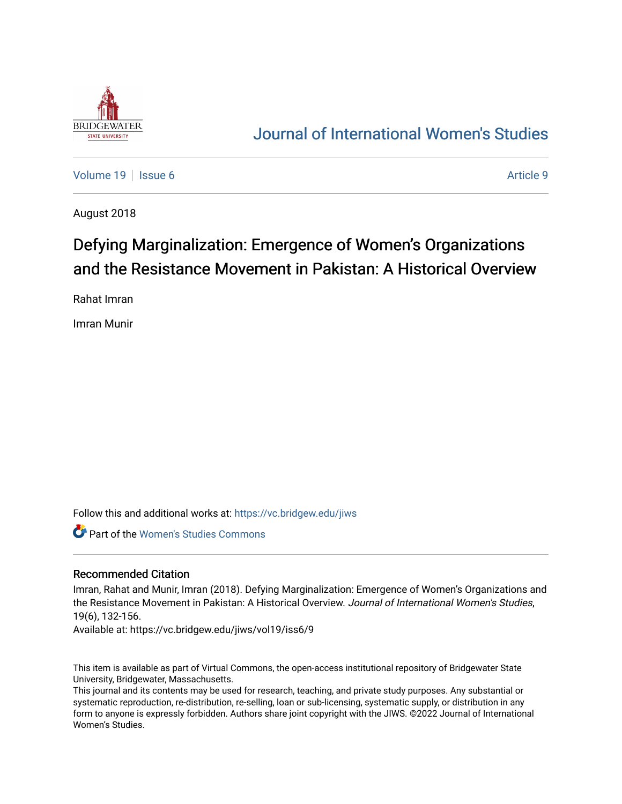

# [Journal of International Women's Studies](https://vc.bridgew.edu/jiws)

[Volume 19](https://vc.bridgew.edu/jiws/vol19) | [Issue 6](https://vc.bridgew.edu/jiws/vol19/iss6) Article 9

August 2018

# Defying Marginalization: Emergence of Women's Organizations and the Resistance Movement in Pakistan: A Historical Overview

Rahat Imran

Imran Munir

Follow this and additional works at: [https://vc.bridgew.edu/jiws](https://vc.bridgew.edu/jiws?utm_source=vc.bridgew.edu%2Fjiws%2Fvol19%2Fiss6%2F9&utm_medium=PDF&utm_campaign=PDFCoverPages)

Part of the [Women's Studies Commons](http://network.bepress.com/hgg/discipline/561?utm_source=vc.bridgew.edu%2Fjiws%2Fvol19%2Fiss6%2F9&utm_medium=PDF&utm_campaign=PDFCoverPages) 

#### Recommended Citation

Imran, Rahat and Munir, Imran (2018). Defying Marginalization: Emergence of Women's Organizations and the Resistance Movement in Pakistan: A Historical Overview. Journal of International Women's Studies, 19(6), 132-156.

Available at: https://vc.bridgew.edu/jiws/vol19/iss6/9

This item is available as part of Virtual Commons, the open-access institutional repository of Bridgewater State University, Bridgewater, Massachusetts.

This journal and its contents may be used for research, teaching, and private study purposes. Any substantial or systematic reproduction, re-distribution, re-selling, loan or sub-licensing, systematic supply, or distribution in any form to anyone is expressly forbidden. Authors share joint copyright with the JIWS. ©2022 Journal of International Women's Studies.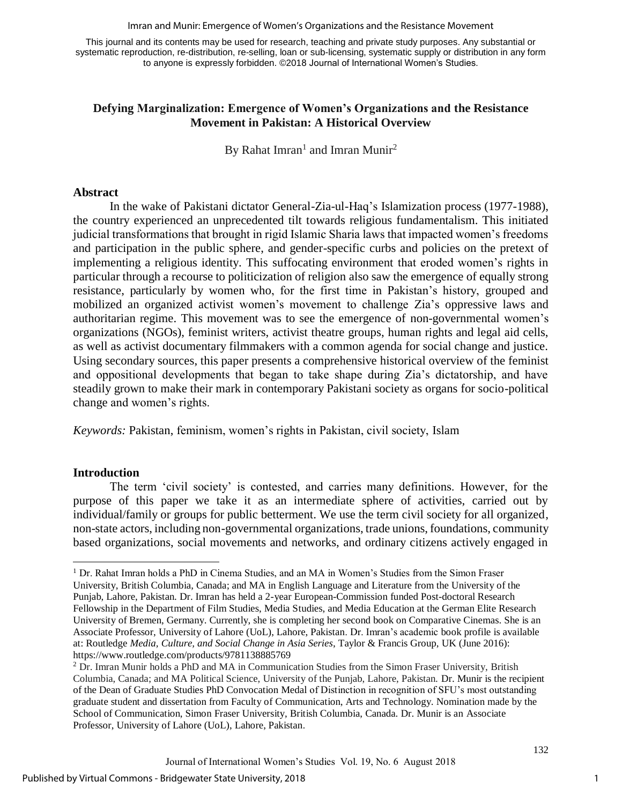Imran and Munir: Emergence of Women's Organizations and the Resistance Movement

This journal and its contents may be used for research, teaching and private study purposes. Any substantial or systematic reproduction, re-distribution, re-selling, loan or sub-licensing, systematic supply or distribution in any form to anyone is expressly forbidden. ©2018 Journal of International Women's Studies.

# **Defying Marginalization: Emergence of Women's Organizations and the Resistance Movement in Pakistan: A Historical Overview**

By Rahat Imran<sup>1</sup> and Imran Munir<sup>2</sup>

# **Abstract**

In the wake of Pakistani dictator General-Zia-ul-Haq's Islamization process (1977-1988), the country experienced an unprecedented tilt towards religious fundamentalism. This initiated judicial transformations that brought in rigid Islamic Sharia laws that impacted women's freedoms and participation in the public sphere, and gender-specific curbs and policies on the pretext of implementing a religious identity. This suffocating environment that eroded women's rights in particular through a recourse to politicization of religion also saw the emergence of equally strong resistance, particularly by women who, for the first time in Pakistan's history, grouped and mobilized an organized activist women's movement to challenge Zia's oppressive laws and authoritarian regime. This movement was to see the emergence of non-governmental women's organizations (NGOs), feminist writers, activist theatre groups, human rights and legal aid cells, as well as activist documentary filmmakers with a common agenda for social change and justice. Using secondary sources, this paper presents a comprehensive historical overview of the feminist and oppositional developments that began to take shape during Zia's dictatorship, and have steadily grown to make their mark in contemporary Pakistani society as organs for socio-political change and women's rights.

*Keywords:* Pakistan, feminism, women's rights in Pakistan, civil society, Islam

## **Introduction**

The term 'civil society' is contested, and carries many definitions. However, for the purpose of this paper we take it as an intermediate sphere of activities, carried out by individual/family or groups for public betterment. We use the term civil society for all organized, non-state actors, including non-governmental organizations, trade unions, foundations, community based organizations, social movements and networks, and ordinary citizens actively engaged in

 $\overline{a}$ <sup>1</sup> Dr. Rahat Imran holds a PhD in Cinema Studies, and an MA in Women's Studies from the Simon Fraser University, British Columbia, Canada; and MA in English Language and Literature from the University of the Punjab, Lahore, Pakistan. Dr. Imran has held a 2-year European-Commission funded Post-doctoral Research Fellowship in the Department of Film Studies, Media Studies, and Media Education at the German Elite Research University of Bremen, Germany. Currently, she is completing her second book on Comparative Cinemas. She is an Associate Professor, University of Lahore (UoL), Lahore, Pakistan. Dr. Imran's academic book profile is available at: Routledge *Media, Culture, and Social Change in Asia Series*, Taylor & Francis Group, UK (June 2016): https://www.routledge.com/products/9781138885769

<sup>2</sup> Dr. Imran Munir holds a PhD and MA in Communication Studies from the Simon Fraser University, British Columbia, Canada; and MA Political Science, University of the Punjab, Lahore, Pakistan. Dr. Munir is the recipient of the Dean of Graduate Studies PhD Convocation Medal of Distinction in recognition of SFU's most outstanding graduate student and dissertation from Faculty of Communication, Arts and Technology. Nomination made by the School of Communication, Simon Fraser University, British Columbia, Canada. Dr. Munir is an Associate Professor, University of Lahore (UoL), Lahore, Pakistan.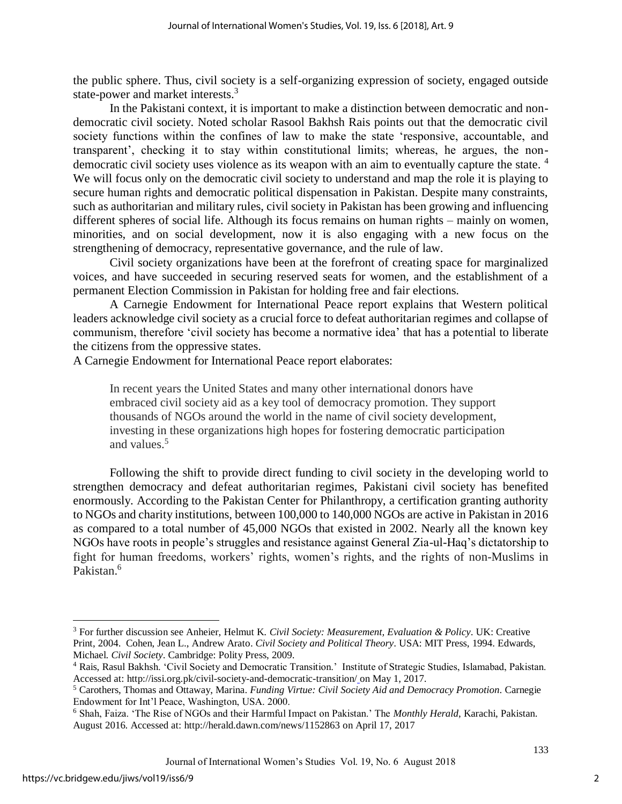the public sphere. Thus, civil society is a self-organizing expression of society, engaged outside state-power and market interests.<sup>3</sup>

In the Pakistani context, it is important to make a distinction between democratic and nondemocratic civil society. Noted scholar Rasool Bakhsh Rais points out that the democratic civil society functions within the confines of law to make the state 'responsive, accountable, and transparent', checking it to stay within constitutional limits; whereas, he argues, the nondemocratic civil society uses violence as its weapon with an aim to eventually capture the state.<sup>4</sup> We will focus only on the democratic civil society to understand and map the role it is playing to secure human rights and democratic political dispensation in Pakistan. Despite many constraints, such as authoritarian and military rules, civil society in Pakistan has been growing and influencing different spheres of social life. Although its focus remains on human rights – mainly on women, minorities, and on social development, now it is also engaging with a new focus on the strengthening of democracy, representative governance, and the rule of law.

Civil society organizations have been at the forefront of creating space for marginalized voices, and have succeeded in securing reserved seats for women, and the establishment of a permanent Election Commission in Pakistan for holding free and fair elections.

A Carnegie Endowment for International Peace report explains that Western political leaders acknowledge civil society as a crucial force to defeat authoritarian regimes and collapse of communism, therefore 'civil society has become a normative idea' that has a potential to liberate the citizens from the oppressive states.

A Carnegie Endowment for International Peace report elaborates:

In recent years the United States and many other international donors have embraced civil society aid as a key tool of democracy promotion. They support thousands of NGOs around the world in the name of civil society development, investing in these organizations high hopes for fostering democratic participation and values.<sup>5</sup>

Following the shift to provide direct funding to civil society in the developing world to strengthen democracy and defeat authoritarian regimes, Pakistani civil society has benefited enormously. According to the Pakistan Center for Philanthropy, a certification granting authority to NGOs and charity institutions, between 100,000 to 140,000 NGOs are active in Pakistan in 2016 as compared to a total number of 45,000 NGOs that existed in 2002. Nearly all the known key NGOs have roots in people's struggles and resistance against General Zia-ul-Haq's dictatorship to fight for human freedoms, workers' rights, women's rights, and the rights of non-Muslims in Pakistan.<sup>6</sup>

 $\overline{a}$ 

<sup>3</sup> For further discussion see Anheier, Helmut K. *Civil Society: Measurement, Evaluation & Policy*. UK: Creative Print, 2004. Cohen, Jean L., Andrew Arato. *Civil Society and Political Theory*. USA: MIT Press, 1994. Edwards, Michael. *Civil Society*. Cambridge: Polity Press, 2009.

<sup>4</sup> Rais, Rasul Bakhsh. 'Civil Society and Democratic Transition.' Institute of Strategic Studies, Islamabad, Pakistan. Accessed at: http://issi.org.pk/civil-society-and-democratic-transition/ on May 1, 2017.

<sup>5</sup> Carothers, Thomas and Ottaway, Marina. *Funding Virtue: Civil Society Aid and Democracy Promotion*. Carnegie Endowment for Int'l Peace, Washington, USA. 2000.

<sup>6</sup> Shah, Faiza. 'The Rise of NGOs and their Harmful Impact on Pakistan.' The *Monthly Herald*, Karachi, Pakistan. August 2016. Accessed at: http://herald.dawn.com/news/1152863 on April 17, 2017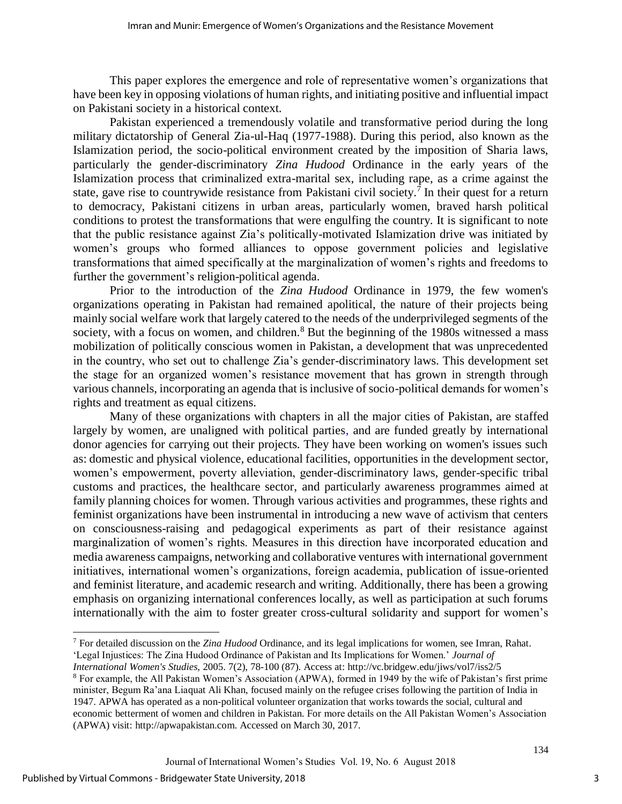This paper explores the emergence and role of representative women's organizations that have been key in opposing violations of human rights, and initiating positive and influential impact on Pakistani society in a historical context.

Pakistan experienced a tremendously volatile and transformative period during the long military dictatorship of General Zia-ul-Haq (1977-1988). During this period, also known as the Islamization period, the socio-political environment created by the imposition of Sharia laws, particularly the gender-discriminatory *Zina Hudood* Ordinance in the early years of the Islamization process that criminalized extra-marital sex, including rape, as a crime against the state, gave rise to countrywide resistance from Pakistani civil society.<sup>7</sup> In their quest for a return to democracy, Pakistani citizens in urban areas, particularly women, braved harsh political conditions to protest the transformations that were engulfing the country. It is significant to note that the public resistance against Zia's politically-motivated Islamization drive was initiated by women's groups who formed alliances to oppose government policies and legislative transformations that aimed specifically at the marginalization of women's rights and freedoms to further the government's religion-political agenda.

Prior to the introduction of the *Zina Hudood* Ordinance in 1979, the few women's organizations operating in Pakistan had remained apolitical, the nature of their projects being mainly social welfare work that largely catered to the needs of the underprivileged segments of the society, with a focus on women, and children.<sup>8</sup> But the beginning of the 1980s witnessed a mass mobilization of politically conscious women in Pakistan, a development that was unprecedented in the country, who set out to challenge Zia's gender-discriminatory laws. This development set the stage for an organized women's resistance movement that has grown in strength through various channels, incorporating an agenda that is inclusive of socio-political demands for women's rights and treatment as equal citizens.

Many of these organizations with chapters in all the major cities of Pakistan, are staffed largely by women, are unaligned with political parties, and are funded greatly by international donor agencies for carrying out their projects. They have been working on women's issues such as: domestic and physical violence, educational facilities, opportunities in the development sector, women's empowerment, poverty alleviation, gender-discriminatory laws, gender-specific tribal customs and practices, the healthcare sector, and particularly awareness programmes aimed at family planning choices for women. Through various activities and programmes, these rights and feminist organizations have been instrumental in introducing a new wave of activism that centers on consciousness-raising and pedagogical experiments as part of their resistance against marginalization of women's rights. Measures in this direction have incorporated education and media awareness campaigns, networking and collaborative ventures with international government initiatives, international women's organizations, foreign academia, publication of issue-oriented and feminist literature, and academic research and writing. Additionally, there has been a growing emphasis on organizing international conferences locally, as well as participation at such forums internationally with the aim to foster greater cross-cultural solidarity and support for women's

 $\overline{a}$ 

<sup>7</sup> For detailed discussion on the *Zina Hudood* Ordinance, and its legal implications for women, see Imran, Rahat. 'Legal Injustices: The Zina Hudood Ordinance of Pakistan and Its Implications for Women.' *Journal of International Women's Studies,* 2005. 7(2), 78-100 (87). Access at: http://vc.bridgew.edu/jiws/vol7/iss2/5

<sup>8</sup> For example, the All Pakistan Women's Association (APWA), formed in 1949 by the wife of Pakistan's first prime minister, Begum Ra'ana Liaquat Ali Khan, focused mainly on the refugee crises following the partition of India in 1947. APWA has operated as a non-political volunteer organization that works towards the social, cultural and economic betterment of women and children in Pakistan. For more details on the All Pakistan Women's Association (APWA) visit: http://apwapakistan.com. Accessed on March 30, 2017.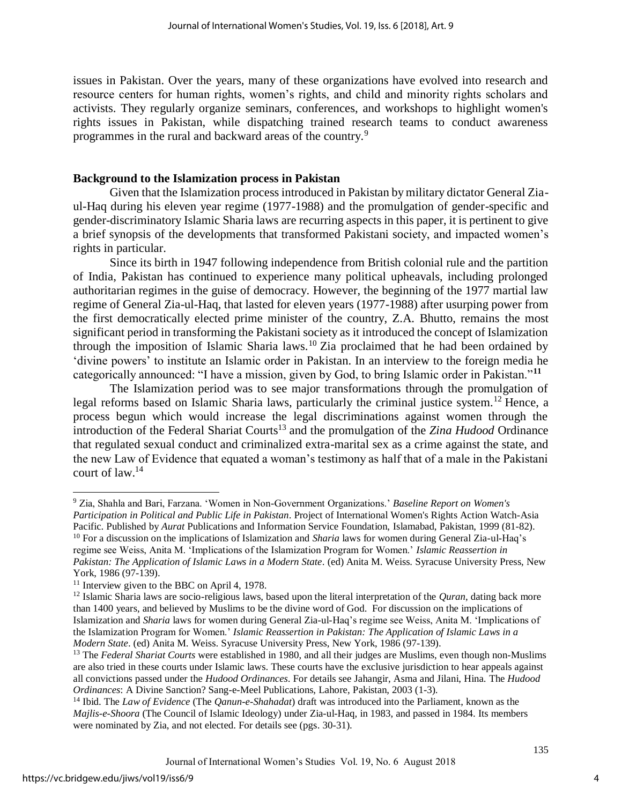issues in Pakistan. Over the years, many of these organizations have evolved into research and resource centers for human rights, women's rights, and child and minority rights scholars and activists. They regularly organize seminars, conferences, and workshops to highlight women's rights issues in Pakistan, while dispatching trained research teams to conduct awareness programmes in the rural and backward areas of the country.<sup>9</sup>

#### **Background to the Islamization process in Pakistan**

Given that the Islamization process introduced in Pakistan by military dictator General Ziaul-Haq during his eleven year regime (1977-1988) and the promulgation of gender-specific and gender-discriminatory Islamic Sharia laws are recurring aspects in this paper, it is pertinent to give a brief synopsis of the developments that transformed Pakistani society, and impacted women's rights in particular.

Since its birth in 1947 following independence from British colonial rule and the partition of India, Pakistan has continued to experience many political upheavals, including prolonged authoritarian regimes in the guise of democracy. However, the beginning of the 1977 martial law regime of General Zia-ul-Haq, that lasted for eleven years (1977-1988) after usurping power from the first democratically elected prime minister of the country, Z.A. Bhutto, remains the most significant period in transforming the Pakistani society as it introduced the concept of Islamization through the imposition of Islamic Sharia laws.<sup>10</sup> Zia proclaimed that he had been ordained by 'divine powers' to institute an Islamic order in Pakistan. In an interview to the foreign media he categorically announced: "I have a mission, given by God, to bring Islamic order in Pakistan."**<sup>11</sup>**

The Islamization period was to see major transformations through the promulgation of legal reforms based on Islamic Sharia laws, particularly the criminal justice system.<sup>12</sup> Hence, a process begun which would increase the legal discriminations against women through the introduction of the Federal Shariat Courts<sup>13</sup> and the promulgation of the *Zina Hudood* Ordinance that regulated sexual conduct and criminalized extra-marital sex as a crime against the state, and the new Law of Evidence that equated a woman's testimony as half that of a male in the Pakistani court of law.<sup>14</sup>

 $\overline{a}$ <sup>9</sup> Zia, Shahla and Bari, Farzana. 'Women in Non-Government Organizations.' *Baseline Report on Women's Participation in Political and Public Life in Pakistan*. Project of International Women's Rights Action Watch-Asia Pacific. Published by *Aurat* Publications and Information Service Foundation, Islamabad, Pakistan, 1999 (81-82).

<sup>10</sup> For a discussion on the implications of Islamization and *Sharia* laws for women during General Zia-ul-Haq's regime see Weiss, Anita M. 'Implications of the Islamization Program for Women.' *Islamic Reassertion in Pakistan: The Application of Islamic Laws in a Modern State*. (ed) Anita M. Weiss. Syracuse University Press, New York, 1986 (97-139).

<sup>&</sup>lt;sup>11</sup> Interview given to the BBC on April 4, 1978.

<sup>12</sup> Islamic Sharia laws are socio-religious laws, based upon the literal interpretation of the *Quran*, dating back more than 1400 years, and believed by Muslims to be the divine word of God. For discussion on the implications of Islamization and *Sharia* laws for women during General Zia-ul-Haq's regime see Weiss, Anita M. 'Implications of the Islamization Program for Women.' *Islamic Reassertion in Pakistan: The Application of Islamic Laws in a Modern State*. (ed) Anita M. Weiss. Syracuse University Press, New York, 1986 (97-139).

<sup>&</sup>lt;sup>13</sup> The *Federal Shariat Courts* were established in 1980, and all their judges are Muslims, even though non-Muslims are also tried in these courts under Islamic laws. These courts have the exclusive jurisdiction to hear appeals against all convictions passed under the *Hudood Ordinances*. For details see Jahangir, Asma and Jilani, Hina. The *Hudood Ordinances*: A Divine Sanction? Sang-e-Meel Publications, Lahore, Pakistan, 2003 (1-3).

<sup>14</sup> Ibid. The *Law of Evidence* (The *Qanun-e-Shahadat*) draft was introduced into the Parliament, known as the *Majlis-e-Shoora* (The Council of Islamic Ideology) under Zia-ul-Haq, in 1983, and passed in 1984. Its members were nominated by Zia, and not elected. For details see (pgs. 30-31).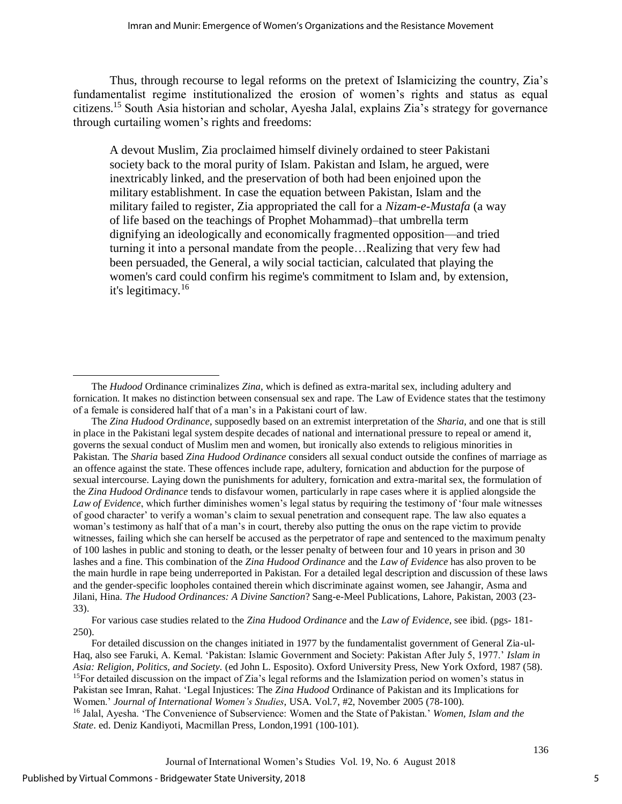Thus, through recourse to legal reforms on the pretext of Islamicizing the country, Zia's fundamentalist regime institutionalized the erosion of women's rights and status as equal citizens.<sup>15</sup> South Asia historian and scholar, Ayesha Jalal, explains Zia's strategy for governance through curtailing women's rights and freedoms:

A devout Muslim, Zia proclaimed himself divinely ordained to steer Pakistani society back to the moral purity of Islam. Pakistan and Islam, he argued, were inextricably linked, and the preservation of both had been enjoined upon the military establishment. In case the equation between Pakistan, Islam and the military failed to register, Zia appropriated the call for a *Nizam-e-Mustafa* (a way of life based on the teachings of Prophet Mohammad)–that umbrella term dignifying an ideologically and economically fragmented opposition—and tried turning it into a personal mandate from the people…Realizing that very few had been persuaded, the General, a wily social tactician, calculated that playing the women's card could confirm his regime's commitment to Islam and, by extension, it's legitimacy.<sup>16</sup>

For various case studies related to the *Zina Hudood Ordinance* and the *Law of Evidence*, see ibid. (pgs- 181- 250).

 $\overline{a}$ 

The *Hudood* Ordinance criminalizes *Zina*, which is defined as extra-marital sex, including adultery and fornication. It makes no distinction between consensual sex and rape. The Law of Evidence states that the testimony of a female is considered half that of a man's in a Pakistani court of law.

The *Zina Hudood Ordinance*, supposedly based on an extremist interpretation of the *Sharia*, and one that is still in place in the Pakistani legal system despite decades of national and international pressure to repeal or amend it, governs the sexual conduct of Muslim men and women, but ironically also extends to religious minorities in Pakistan. The *Sharia* based *Zina Hudood Ordinance* considers all sexual conduct outside the confines of marriage as an offence against the state. These offences include rape, adultery, fornication and abduction for the purpose of sexual intercourse. Laying down the punishments for adultery, fornication and extra-marital sex, the formulation of the *Zina Hudood Ordinance* tends to disfavour women, particularly in rape cases where it is applied alongside the *Law of Evidence*, which further diminishes women's legal status by requiring the testimony of 'four male witnesses of good character' to verify a woman's claim to sexual penetration and consequent rape. The law also equates a woman's testimony as half that of a man's in court, thereby also putting the onus on the rape victim to provide witnesses, failing which she can herself be accused as the perpetrator of rape and sentenced to the maximum penalty of 100 lashes in public and stoning to death, or the lesser penalty of between four and 10 years in prison and 30 lashes and a fine. This combination of the *Zina Hudood Ordinance* and the *Law of Evidence* has also proven to be the main hurdle in rape being underreported in Pakistan. For a detailed legal description and discussion of these laws and the gender-specific loopholes contained therein which discriminate against women, see Jahangir, Asma and Jilani, Hina. *The Hudood Ordinances: A Divine Sanction*? Sang-e-Meel Publications, Lahore, Pakistan, 2003 (23- 33).

For detailed discussion on the changes initiated in 1977 by the fundamentalist government of General Zia-ul-Haq, also see Faruki, A. Kemal. 'Pakistan: Islamic Government and Society: Pakistan After July 5, 1977.' *Islam in Asia: Religion, Politics, and Society.* (ed John L. Esposito). Oxford University Press, New York Oxford, 1987 (58). <sup>15</sup>For detailed discussion on the impact of Zia's legal reforms and the Islamization period on women's status in Pakistan see Imran, Rahat. 'Legal Injustices: The *Zina Hudood* Ordinance of Pakistan and its Implications for Women.' *Journal of International Women's Studies*, USA*.* Vol.7, #2, November 2005 (78-100). <sup>16</sup> Jalal, Ayesha. 'The Convenience of Subservience: Women and the State of Pakistan.' *Women, Islam and the State*. ed. Deniz Kandiyoti, Macmillan Press, London,1991 (100-101).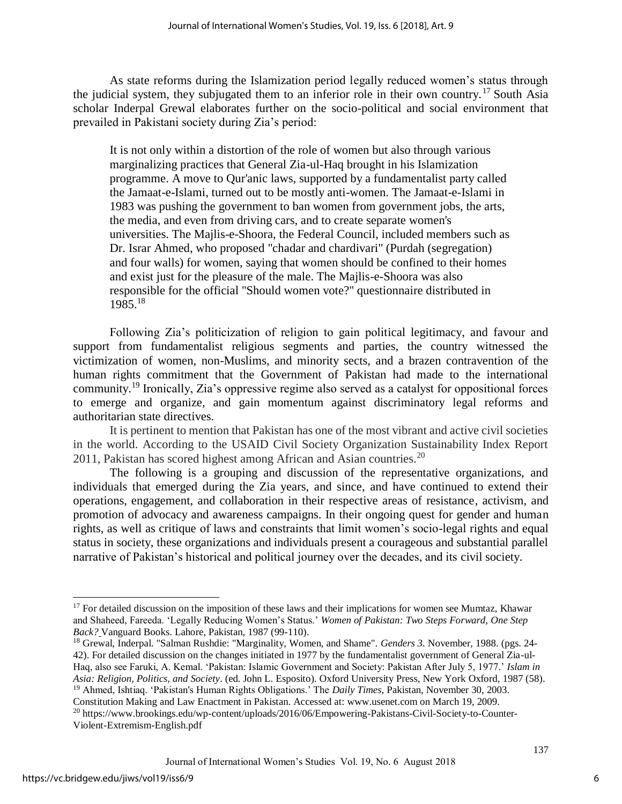As state reforms during the Islamization period legally reduced women's status through the judicial system, they subjugated them to an inferior role in their own country.<sup>17</sup> South Asia scholar Inderpal Grewal elaborates further on the socio-political and social environment that prevailed in Pakistani society during Zia's period:

It is not only within a distortion of the role of women but also through various marginalizing practices that General Zia-ul-Haq brought in his Islamization programme. A move to Qur'anic laws, supported by a fundamentalist party called the Jamaat-e-Islami, turned out to be mostly anti-women. The Jamaat-e-Islami in 1983 was pushing the government to ban women from government jobs, the arts, the media, and even from driving cars, and to create separate women's universities. The Majlis-e-Shoora, the Federal Council, included members such as Dr. Israr Ahmed, who proposed "chadar and chardivari" (Purdah (segregation) and four walls) for women, saying that women should be confined to their homes and exist just for the pleasure of the male. The Majlis-e-Shoora was also responsible for the official "Should women vote?" questionnaire distributed in 1985.<sup>18</sup>

Following Zia's politicization of religion to gain political legitimacy, and favour and support from fundamentalist religious segments and parties, the country witnessed the victimization of women, non-Muslims, and minority sects, and a brazen contravention of the human rights commitment that the Government of Pakistan had made to the international community.<sup>19</sup> Ironically, Zia's oppressive regime also served as a catalyst for oppositional forces to emerge and organize, and gain momentum against discriminatory legal reforms and authoritarian state directives.

It is pertinent to mention that Pakistan has one of the most vibrant and active civil societies in the world. According to the USAID Civil Society Organization Sustainability Index Report 2011, Pakistan has scored highest among African and Asian countries.<sup>20</sup>

The following is a grouping and discussion of the representative organizations, and individuals that emerged during the Zia years, and since, and have continued to extend their operations, engagement, and collaboration in their respective areas of resistance, activism, and promotion of advocacy and awareness campaigns. In their ongoing quest for gender and human rights, as well as critique of laws and constraints that limit women's socio-legal rights and equal status in society, these organizations and individuals present a courageous and substantial parallel narrative of Pakistan's historical and political journey over the decades, and its civil society.

<sup>18</sup> Grewal, Inderpal. "Salman Rushdie: "Marginality, Women, and Shame". *Genders 3*. November, 1988. (pgs. 24- 42). For detailed discussion on the changes initiated in 1977 by the fundamentalist government of General Zia-ul-Haq, also see Faruki, A. Kemal. 'Pakistan: Islamic Government and Society: Pakistan After July 5, 1977.' *Islam in Asia: Religion, Politics, and Society*. (ed. John L. Esposito). Oxford University Press, New York Oxford, 1987 (58). <sup>19</sup> Ahmed, Ishtiaq. 'Pakistan's Human Rights Obligations.' The *Daily Times*, Pakistan, November 30, 2003.

Constitution Making and Law Enactment in Pakistan. Accessed at: www.usenet.com on March 19, 2009.

l

6

<sup>&</sup>lt;sup>17</sup> For detailed discussion on the imposition of these laws and their implications for women see Mumtaz, Khawar and Shaheed, Fareeda. 'Legally Reducing Women's Status.' *Women of Pakistan: Two Steps Forward, One Step Back?* Vanguard Books. Lahore, Pakistan, 1987 (99-110).

<sup>20</sup> https://www.brookings.edu/wp-content/uploads/2016/06/Empowering-Pakistans-Civil-Society-to-Counter-Violent-Extremism-English.pdf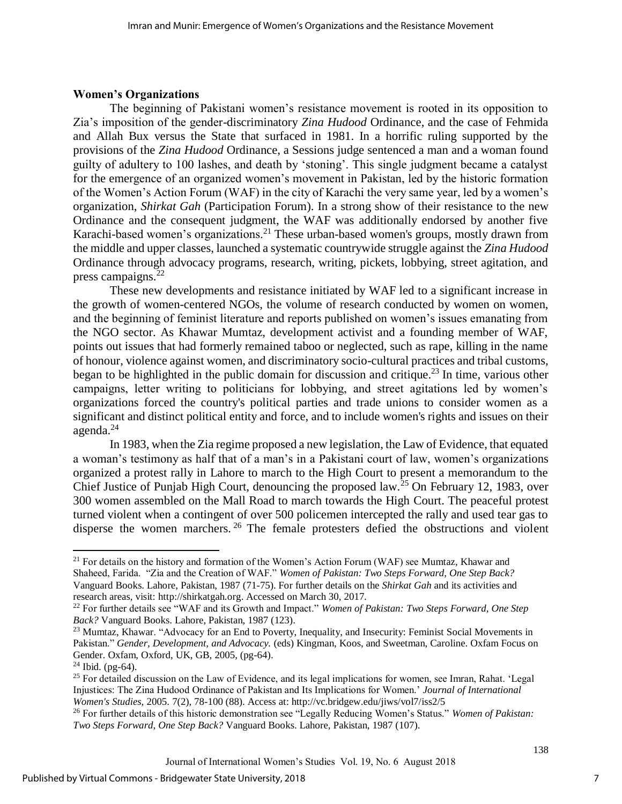## **Women's Organizations**

The beginning of Pakistani women's resistance movement is rooted in its opposition to Zia's imposition of the gender-discriminatory *Zina Hudood* Ordinance, and the case of Fehmida and Allah Bux versus the State that surfaced in 1981. In a horrific ruling supported by the provisions of the *Zina Hudood* Ordinance, a Sessions judge sentenced a man and a woman found guilty of adultery to 100 lashes, and death by 'stoning'. This single judgment became a catalyst for the emergence of an organized women's movement in Pakistan, led by the historic formation of the Women's Action Forum (WAF) in the city of Karachi the very same year, led by a women's organization, *Shirkat Gah* (Participation Forum). In a strong show of their resistance to the new Ordinance and the consequent judgment, the WAF was additionally endorsed by another five Karachi-based women's organizations.<sup>21</sup> These urban-based women's groups, mostly drawn from the middle and upper classes, launched a systematic countrywide struggle against the *Zina Hudood* Ordinance through advocacy programs, research, writing, pickets, lobbying, street agitation, and press campaigns.<sup>22</sup>

These new developments and resistance initiated by WAF led to a significant increase in the growth of women-centered NGOs, the volume of research conducted by women on women, and the beginning of feminist literature and reports published on women's issues emanating from the NGO sector. As Khawar Mumtaz, development activist and a founding member of WAF, points out issues that had formerly remained taboo or neglected, such as rape, killing in the name of honour, violence against women, and discriminatory socio-cultural practices and tribal customs, began to be highlighted in the public domain for discussion and critique.<sup>23</sup> In time, various other campaigns, letter writing to politicians for lobbying, and street agitations led by women's organizations forced the country's political parties and trade unions to consider women as a significant and distinct political entity and force, and to include women's rights and issues on their agenda. $^{24}$ 

In 1983, when the Zia regime proposed a new legislation, the Law of Evidence, that equated a woman's testimony as half that of a man's in a Pakistani court of law, women's organizations organized a protest rally in Lahore to march to the High Court to present a memorandum to the Chief Justice of Punjab High Court, denouncing the proposed law.<sup>25</sup> On February 12, 1983, over 300 women assembled on the Mall Road to march towards the High Court. The peaceful protest turned violent when a contingent of over 500 policemen intercepted the rally and used tear gas to disperse the women marchers. <sup>26</sup> The female protesters defied the obstructions and violent

 $\overline{a}$ 

<sup>&</sup>lt;sup>21</sup> For details on the history and formation of the Women's Action Forum (WAF) see Mumtaz, Khawar and Shaheed, Farida. "Zia and the Creation of WAF." *Women of Pakistan: Two Steps Forward, One Step Back?* Vanguard Books. Lahore, Pakistan, 1987 (71-75). For further details on the *Shirkat Gah* and its activities and research areas, visit: http://shirkatgah.org. Accessed on March 30, 2017.

<sup>22</sup> For further details see "WAF and its Growth and Impact." *Women of Pakistan: Two Steps Forward, One Step Back?* Vanguard Books. Lahore, Pakistan, 1987 (123).

<sup>&</sup>lt;sup>23</sup> Mumtaz, Khawar. "Advocacy for an End to Poverty, Inequality, and Insecurity: Feminist Social Movements in Pakistan." *Gender, Development, and Advocacy.* (eds) Kingman, Koos, and Sweetman, Caroline. Oxfam Focus on Gender. Oxfam, Oxford, UK, GB, 2005, (pg-64).

 $24$  Ibid. (pg-64).

<sup>&</sup>lt;sup>25</sup> For detailed discussion on the Law of Evidence, and its legal implications for women, see Imran, Rahat. 'Legal Injustices: The Zina Hudood Ordinance of Pakistan and Its Implications for Women.' *Journal of International Women's Studies,* 2005. 7(2), 78-100 (88). Access at: http://vc.bridgew.edu/jiws/vol7/iss2/5

<sup>26</sup> For further details of this historic demonstration see "Legally Reducing Women's Status." *Women of Pakistan: Two Steps Forward, One Step Back?* Vanguard Books. Lahore, Pakistan, 1987 (107).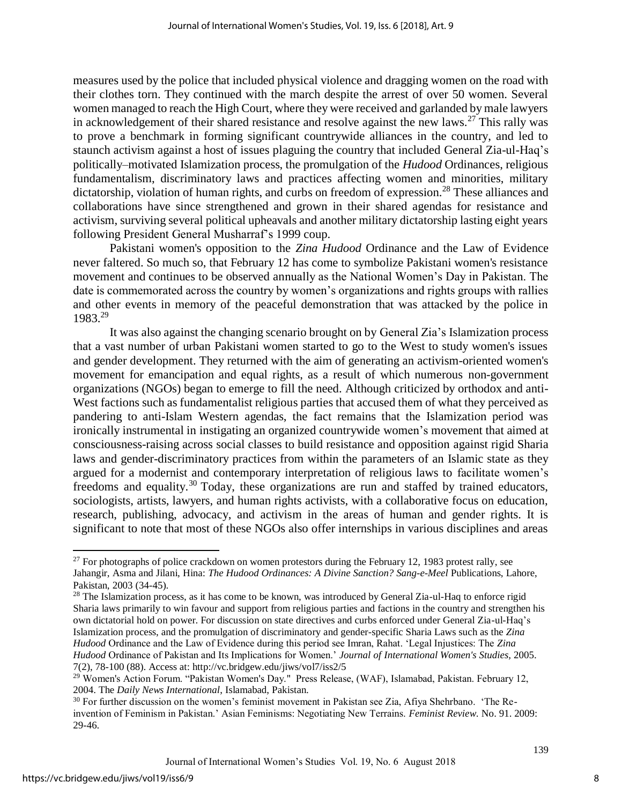measures used by the police that included physical violence and dragging women on the road with their clothes torn. They continued with the march despite the arrest of over 50 women. Several women managed to reach the High Court, where they were received and garlanded by male lawyers in acknowledgement of their shared resistance and resolve against the new laws.<sup>27</sup> This rally was to prove a benchmark in forming significant countrywide alliances in the country, and led to staunch activism against a host of issues plaguing the country that included General Zia-ul-Haq's politically–motivated Islamization process, the promulgation of the *Hudood* Ordinances, religious fundamentalism, discriminatory laws and practices affecting women and minorities, military dictatorship, violation of human rights, and curbs on freedom of expression.<sup>28</sup> These alliances and collaborations have since strengthened and grown in their shared agendas for resistance and activism, surviving several political upheavals and another military dictatorship lasting eight years following President General Musharraf's 1999 coup.

Pakistani women's opposition to the *Zina Hudood* Ordinance and the Law of Evidence never faltered. So much so, that February 12 has come to symbolize Pakistani women's resistance movement and continues to be observed annually as the National Women's Day in Pakistan. The date is commemorated across the country by women's organizations and rights groups with rallies and other events in memory of the peaceful demonstration that was attacked by the police in 1983.<sup>29</sup>

It was also against the changing scenario brought on by General Zia's Islamization process that a vast number of urban Pakistani women started to go to the West to study women's issues and gender development. They returned with the aim of generating an activism-oriented women's movement for emancipation and equal rights, as a result of which numerous non-government organizations (NGOs) began to emerge to fill the need. Although criticized by orthodox and anti-West factions such as fundamentalist religious parties that accused them of what they perceived as pandering to anti-Islam Western agendas, the fact remains that the Islamization period was ironically instrumental in instigating an organized countrywide women's movement that aimed at consciousness-raising across social classes to build resistance and opposition against rigid Sharia laws and gender-discriminatory practices from within the parameters of an Islamic state as they argued for a modernist and contemporary interpretation of religious laws to facilitate women's freedoms and equality.<sup>30</sup> Today, these organizations are run and staffed by trained educators, sociologists, artists, lawyers, and human rights activists, with a collaborative focus on education, research, publishing, advocacy, and activism in the areas of human and gender rights. It is significant to note that most of these NGOs also offer internships in various disciplines and areas

 $\overline{a}$ 

 $^{27}$  For photographs of police crackdown on women protestors during the February 12, 1983 protest rally, see Jahangir, Asma and Jilani, Hina: *The Hudood Ordinances: A Divine Sanction? Sang-e-Meel* Publications, Lahore, Pakistan, 2003 (34-45).

<sup>&</sup>lt;sup>28</sup> The Islamization process, as it has come to be known, was introduced by General Zia-ul-Haq to enforce rigid Sharia laws primarily to win favour and support from religious parties and factions in the country and strengthen his own dictatorial hold on power. For discussion on state directives and curbs enforced under General Zia-ul-Haq's Islamization process, and the promulgation of discriminatory and gender-specific Sharia Laws such as the *Zina Hudood* Ordinance and the Law of Evidence during this period see Imran, Rahat. 'Legal Injustices: The *Zina Hudood* Ordinance of Pakistan and Its Implications for Women.' *Journal of International Women's Studies,* 2005. 7(2), 78-100 (88). Access at: http://vc.bridgew.edu/jiws/vol7/iss2/5

<sup>29</sup> Women's Action Forum. "Pakistan Women's Day." Press Release, (WAF), Islamabad, Pakistan. February 12, 2004. The *Daily News International*, Islamabad, Pakistan.

<sup>&</sup>lt;sup>30</sup> For further discussion on the women's feminist movement in Pakistan see Zia, Afiya Shehrbano. 'The Reinvention of Feminism in Pakistan.' Asian Feminisms: Negotiating New Terrains. *Feminist Review*. No. 91. 2009: 29-46.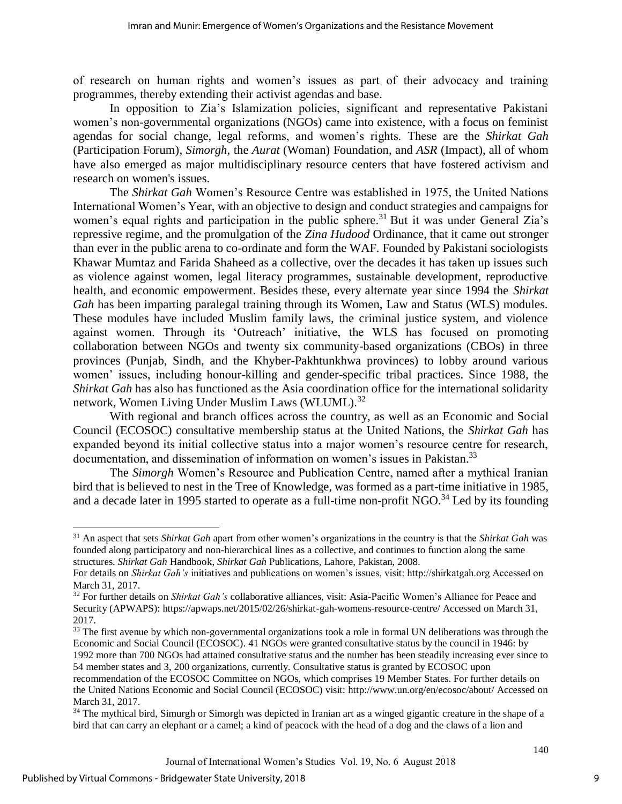of research on human rights and women's issues as part of their advocacy and training programmes, thereby extending their activist agendas and base.

In opposition to Zia's Islamization policies, significant and representative Pakistani women's non-governmental organizations (NGOs) came into existence, with a focus on feminist agendas for social change, legal reforms, and women's rights. These are the *Shirkat Gah* (Participation Forum)*, Simorgh,* the *Aurat* (Woman) Foundation, and *ASR* (Impact), all of whom have also emerged as major multidisciplinary resource centers that have fostered activism and research on women's issues.

The *Shirkat Gah* Women's Resource Centre was established in 1975, the United Nations International Women's Year, with an objective to design and conduct strategies and campaigns for women's equal rights and participation in the public sphere.<sup>31</sup> But it was under General Zia's repressive regime, and the promulgation of the *Zina Hudood* Ordinance, that it came out stronger than ever in the public arena to co-ordinate and form the WAF. Founded by Pakistani sociologists Khawar Mumtaz and Farida Shaheed as a collective, over the decades it has taken up issues such as violence against women, legal literacy programmes, sustainable development, reproductive health, and economic empowerment. Besides these, every alternate year since 1994 the *Shirkat Gah* has been imparting paralegal training through its Women, Law and Status (WLS) modules. These modules have included Muslim family laws, the criminal justice system, and violence against women. Through its 'Outreach' initiative, the WLS has focused on promoting collaboration between NGOs and twenty six community-based organizations (CBOs) in three provinces (Punjab, Sindh, and the Khyber-Pakhtunkhwa provinces) to lobby around various women' issues, including honour-killing and gender-specific tribal practices. Since 1988, the *Shirkat Gah* has also has functioned as the Asia coordination office for the international solidarity network, Women Living Under Muslim Laws (WLUML).<sup>32</sup>

With regional and branch offices across the country, as well as an Economic and Social Council (ECOSOC) consultative membership status at the United Nations, the *Shirkat Gah* has expanded beyond its initial collective status into a major women's resource centre for research, documentation, and dissemination of information on women's issues in Pakistan.<sup>33</sup>

The *Simorgh* Women's Resource and Publication Centre, named after a mythical Iranian bird that is believed to nest in the Tree of Knowledge, was formed as a part-time initiative in 1985, and a decade later in 1995 started to operate as a full-time non-profit NGO.<sup>34</sup> Led by its founding

l

<sup>31</sup> An aspect that sets *Shirkat Gah* apart from other women's organizations in the country is that the *Shirkat Gah* was founded along participatory and non-hierarchical lines as a collective, and continues to function along the same structures. *Shirkat Gah* Handbook, *Shirkat Gah* Publications, Lahore, Pakistan, 2008.

For details on *Shirkat Gah's* initiatives and publications on women's issues, visit: http://shirkatgah.org Accessed on March 31, 2017.

<sup>32</sup> For further details on *Shirkat Gah's* collaborative alliances, visit: Asia-Pacific Women's Alliance for Peace and Security (APWAPS): https://apwaps.net/2015/02/26/shirkat-gah-womens-resource-centre/ Accessed on March 31, 2017.

<sup>&</sup>lt;sup>33</sup> The first avenue by which non-governmental organizations took a role in formal UN deliberations was through the Economic and Social Council (ECOSOC). 41 NGOs were granted consultative status by the council in 1946: by 1992 more than 700 NGOs had attained consultative status and the number has been steadily increasing ever since to

<sup>54</sup> member states and 3, 200 organizations, currently. Consultative status is granted by ECOSOC upon

recommendation of the ECOSOC Committee on NGOs, which comprises 19 Member States. For further details on the United Nations Economic and Social Council (ECOSOC) visit: http://www.un.org/en/ecosoc/about/ Accessed on March 31, 2017.

<sup>&</sup>lt;sup>34</sup> The mythical bird, Simurgh or Simorgh was depicted in Iranian art as a winged gigantic creature in the shape of a bird that can carry an elephant or a camel; a kind of peacock with the head of a dog and the claws of a lion and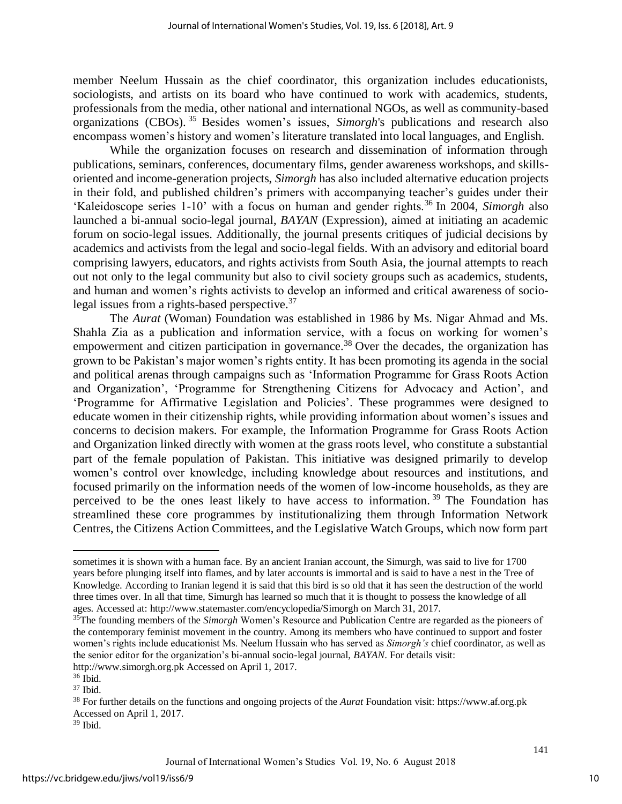member Neelum Hussain as the chief coordinator, this organization includes educationists, sociologists, and artists on its board who have continued to work with academics, students, professionals from the media, other national and international NGOs, as well as community-based organizations (CBOs). <sup>35</sup> Besides women's issues, *Simorgh*'s publications and research also encompass women's history and women's literature translated into local languages, and English.

While the organization focuses on research and dissemination of information through publications, seminars, conferences, documentary films, gender awareness workshops, and skillsoriented and income-generation projects, *Simorgh* has also included alternative education projects in their fold, and published children's primers with accompanying teacher's guides under their 'Kaleidoscope series 1-10' with a focus on human and gender rights.<sup>36</sup> In 2004, *Simorgh* also launched a bi-annual socio-legal journal, *BAYAN* (Expression), aimed at initiating an academic forum on socio-legal issues. Additionally, the journal presents critiques of judicial decisions by academics and activists from the legal and socio-legal fields. With an advisory and editorial board comprising lawyers, educators, and rights activists from South Asia, the journal attempts to reach out not only to the legal community but also to civil society groups such as academics, students, and human and women's rights activists to develop an informed and critical awareness of sociolegal issues from a rights-based perspective.<sup>37</sup>

The *Aurat* (Woman) Foundation was established in 1986 by Ms. Nigar Ahmad and Ms. Shahla Zia as a publication and information service, with a focus on working for women's empowerment and citizen participation in governance.<sup>38</sup> Over the decades, the organization has grown to be Pakistan's major women's rights entity. It has been promoting its agenda in the social and political arenas through campaigns such as 'Information Programme for Grass Roots Action and Organization', 'Programme for Strengthening Citizens for Advocacy and Action', and 'Programme for Affirmative Legislation and Policies'. These programmes were designed to educate women in their citizenship rights, while providing information about women's issues and concerns to decision makers. For example, the Information Programme for Grass Roots Action and Organization linked directly with women at the grass roots level, who constitute a substantial part of the female population of Pakistan. This initiative was designed primarily to develop women's control over knowledge, including knowledge about resources and institutions, and focused primarily on the information needs of the women of low-income households, as they are perceived to be the ones least likely to have access to information.<sup>39</sup> The Foundation has streamlined these core programmes by institutionalizing them through Information Network Centres, the Citizens Action Committees, and the Legislative Watch Groups, which now form part

 $\overline{a}$ 

sometimes it is shown with a human face. By an ancient Iranian account, the Simurgh, was said to live for 1700 years before plunging itself into flames, and by later accounts is immortal and is said to have a nest in the Tree of Knowledge. According to Iranian legend it is said that this bird is so old that it has seen the destruction of the world three times over. In all that time, Simurgh has learned so much that it is thought to possess the knowledge of all ages. Accessed at: http://www.statemaster.com/encyclopedia/Simorgh on March 31, 2017.

<sup>&</sup>lt;sup>35</sup>The founding members of the *Simorgh* Women's Resource and Publication Centre are regarded as the pioneers of the contemporary feminist movement in the country. Among its members who have continued to support and foster women's rights include educationist Ms. Neelum Hussain who has served as *Simorgh's* chief coordinator, as well as the senior editor for the organization's bi-annual socio-legal journal, *BAYAN*. For details visit: http://www.simorgh.org.pk Accessed on April 1, 2017.

<sup>36</sup> Ibid.

 $37$  Ibid.

<sup>38</sup> For further details on the functions and ongoing projects of the *Aurat* Foundation visit: https://www.af.org.pk Accessed on April 1, 2017.

<sup>39</sup> Ibid.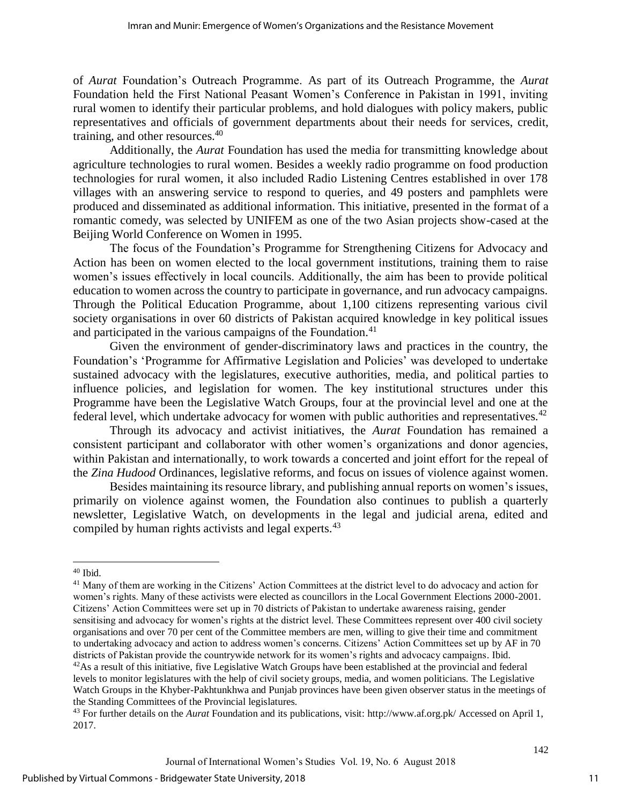of *Aurat* Foundation's Outreach Programme. As part of its Outreach Programme, the *Aurat* Foundation held the First National Peasant Women's Conference in Pakistan in 1991, inviting rural women to identify their particular problems, and hold dialogues with policy makers, public representatives and officials of government departments about their needs for services, credit, training, and other resources.<sup>40</sup>

Additionally, the *Aurat* Foundation has used the media for transmitting knowledge about agriculture technologies to rural women. Besides a weekly radio programme on food production technologies for rural women, it also included Radio Listening Centres established in over 178 villages with an answering service to respond to queries, and 49 posters and pamphlets were produced and disseminated as additional information. This initiative, presented in the format of a romantic comedy, was selected by UNIFEM as one of the two Asian projects show-cased at the Beijing World Conference on Women in 1995.

The focus of the Foundation's Programme for Strengthening Citizens for Advocacy and Action has been on women elected to the local government institutions, training them to raise women's issues effectively in local councils. Additionally, the aim has been to provide political education to women across the country to participate in governance, and run advocacy campaigns. Through the Political Education Programme, about 1,100 citizens representing various civil society organisations in over 60 districts of Pakistan acquired knowledge in key political issues and participated in the various campaigns of the Foundation.<sup>41</sup>

Given the environment of gender-discriminatory laws and practices in the country, the Foundation's 'Programme for Affirmative Legislation and Policies' was developed to undertake sustained advocacy with the legislatures, executive authorities, media, and political parties to influence policies, and legislation for women. The key institutional structures under this Programme have been the Legislative Watch Groups, four at the provincial level and one at the federal level, which undertake advocacy for women with public authorities and representatives.<sup>42</sup>

Through its advocacy and activist initiatives, the *Aurat* Foundation has remained a consistent participant and collaborator with other women's organizations and donor agencies, within Pakistan and internationally, to work towards a concerted and joint effort for the repeal of the *Zina Hudood* Ordinances, legislative reforms, and focus on issues of violence against women.

Besides maintaining its resource library, and publishing annual reports on women's issues, primarily on violence against women, the Foundation also continues to publish a quarterly newsletter, Legislative Watch, on developments in the legal and judicial arena, edited and compiled by human rights activists and legal experts.<sup>43</sup>

 $\overline{a}$ 

11

<sup>40</sup> Ibid.

<sup>&</sup>lt;sup>41</sup> Many of them are working in the Citizens' Action Committees at the district level to do advocacy and action for women's rights. Many of these activists were elected as councillors in the Local Government Elections 2000-2001. Citizens' Action Committees were set up in 70 districts of Pakistan to undertake awareness raising, gender sensitising and advocacy for women's rights at the district level. These Committees represent over 400 civil society organisations and over 70 per cent of the Committee members are men, willing to give their time and commitment to undertaking advocacy and action to address women's concerns. Citizens' Action Committees set up by AF in 70 districts of Pakistan provide the countrywide network for its women's rights and advocacy campaigns. Ibid.

 $42$ As a result of this initiative, five Legislative Watch Groups have been established at the provincial and federal levels to monitor legislatures with the help of civil society groups, media, and women politicians. The Legislative Watch Groups in the Khyber-Pakhtunkhwa and Punjab provinces have been given observer status in the meetings of the Standing Committees of the Provincial legislatures.

<sup>43</sup> For further details on the *Aurat* Foundation and its publications, visit: http://www.af.org.pk/ Accessed on April 1, 2017.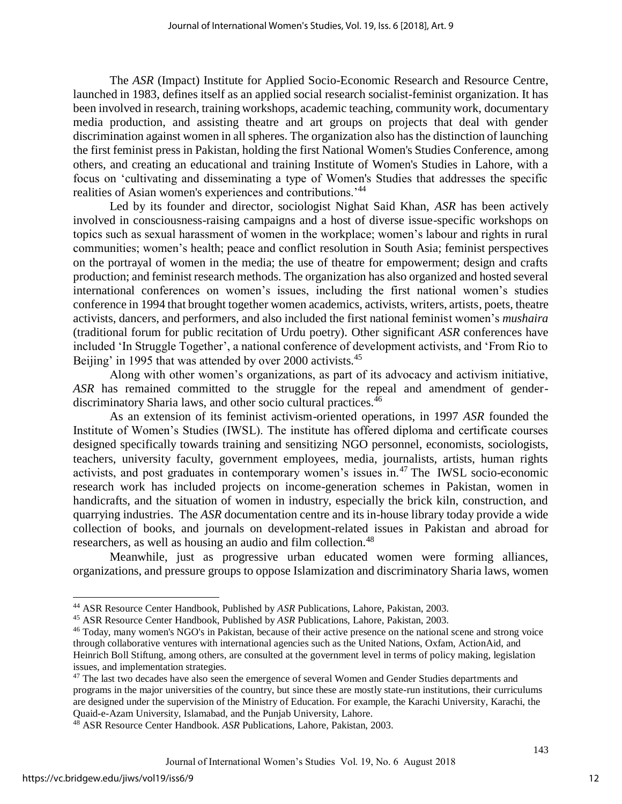The *ASR* (Impact) Institute for Applied Socio-Economic Research and Resource Centre, launched in 1983, defines itself as an applied social research socialist-feminist organization. It has been involved in research, training workshops, academic teaching, community work, documentary media production, and assisting theatre and art groups on projects that deal with gender discrimination against women in all spheres. The organization also has the distinction of launching the first feminist press in Pakistan, holding the first National Women's Studies Conference, among others, and creating an educational and training Institute of Women's Studies in Lahore, with a focus on 'cultivating and disseminating a type of Women's Studies that addresses the specific realities of Asian women's experiences and contributions.'<sup>44</sup>

Led by its founder and director, sociologist Nighat Said Khan, *ASR* has been actively involved in consciousness-raising campaigns and a host of diverse issue-specific workshops on topics such as sexual harassment of women in the workplace; women's labour and rights in rural communities; women's health; peace and conflict resolution in South Asia; feminist perspectives on the portrayal of women in the media; the use of theatre for empowerment; design and crafts production; and feminist research methods. The organization has also organized and hosted several international conferences on women's issues, including the first national women's studies conference in 1994 that brought together women academics, activists, writers, artists, poets, theatre activists, dancers, and performers, and also included the first national feminist women's *mushaira* (traditional forum for public recitation of Urdu poetry). Other significant *ASR* conferences have included 'In Struggle Together', a national conference of development activists, and 'From Rio to Beijing' in 1995 that was attended by over 2000 activists.<sup>45</sup>

Along with other women's organizations, as part of its advocacy and activism initiative, *ASR* has remained committed to the struggle for the repeal and amendment of genderdiscriminatory Sharia laws, and other socio cultural practices.<sup>46</sup>

As an extension of its feminist activism-oriented operations, in 1997 *ASR* founded the Institute of Women's Studies (IWSL). The institute has offered diploma and certificate courses designed specifically towards training and sensitizing NGO personnel, economists, sociologists, teachers, university faculty, government employees, media, journalists, artists, human rights activists, and post graduates in contemporary women's issues in.<sup>47</sup> The IWSL socio-economic research work has included projects on income-generation schemes in Pakistan, women in handicrafts, and the situation of women in industry, especially the brick kiln, construction, and quarrying industries. The *ASR* documentation centre and its in-house library today provide a wide collection of books, and journals on development-related issues in Pakistan and abroad for researchers, as well as housing an audio and film collection.<sup>48</sup>

Meanwhile, just as progressive urban educated women were forming alliances, organizations, and pressure groups to oppose Islamization and discriminatory Sharia laws, women

l

<sup>44</sup> ASR Resource Center Handbook, Published by *ASR* Publications, Lahore, Pakistan, 2003.

<sup>45</sup> ASR Resource Center Handbook, Published by *ASR* Publications, Lahore, Pakistan, 2003.

<sup>46</sup> Today, many women's NGO's in Pakistan, because of their active presence on the national scene and strong voice through collaborative ventures with international agencies such as the United Nations, Oxfam, ActionAid, and Heinrich Boll Stiftung, among others, are consulted at the government level in terms of policy making, legislation issues, and implementation strategies.

<sup>&</sup>lt;sup>47</sup> The last two decades have also seen the emergence of several Women and Gender Studies departments and programs in the major universities of the country, but since these are mostly state-run institutions, their curriculums are designed under the supervision of the Ministry of Education. For example, the Karachi University, Karachi, the Quaid-e-Azam University, Islamabad, and the Punjab University, Lahore.

<sup>48</sup> ASR Resource Center Handbook. *ASR* Publications, Lahore, Pakistan, 2003.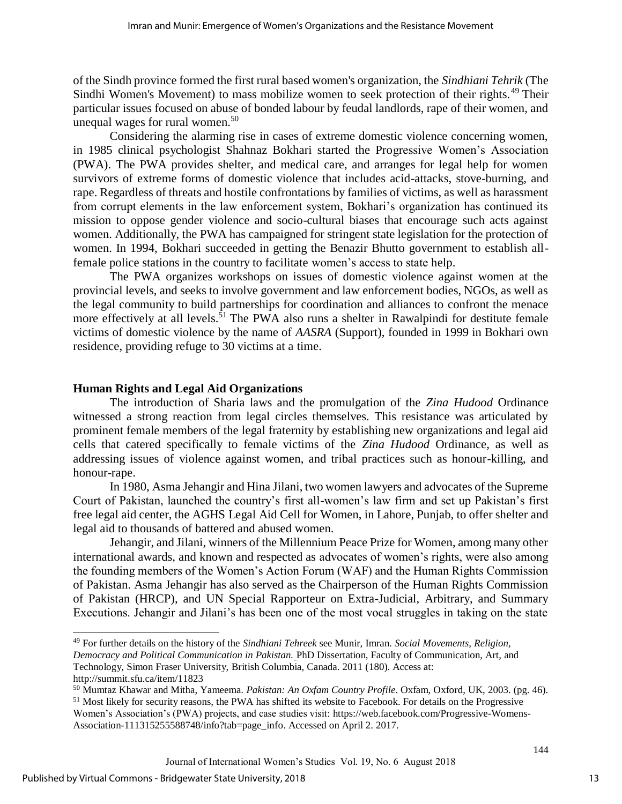of the Sindh province formed the first rural based women's organization, the *Sindhiani Tehrik* (The Sindhi Women's Movement) to mass mobilize women to seek protection of their rights.<sup>49</sup> Their particular issues focused on abuse of bonded labour by feudal landlords, rape of their women, and unequal wages for rural women.<sup>50</sup>

Considering the alarming rise in cases of extreme domestic violence concerning women, in 1985 clinical psychologist Shahnaz Bokhari started the Progressive Women's Association (PWA). The PWA provides shelter, and medical care, and arranges for legal help for women survivors of extreme forms of domestic violence that includes acid-attacks, stove-burning, and rape. Regardless of threats and hostile confrontations by families of victims, as well as harassment from corrupt elements in the law enforcement system, Bokhari's organization has continued its mission to oppose gender violence and socio-cultural biases that encourage such acts against women. Additionally, the PWA has campaigned for stringent state legislation for the protection of women. In 1994, Bokhari succeeded in getting the Benazir Bhutto government to establish allfemale police stations in the country to facilitate women's access to state help.

The PWA organizes workshops on issues of domestic violence against women at the provincial levels, and seeks to involve government and law enforcement bodies, NGOs, as well as the legal community to build partnerships for coordination and alliances to confront the menace more effectively at all levels.<sup>51</sup> The PWA also runs a shelter in Rawalpindi for destitute female victims of domestic violence by the name of *AASRA* (Support), founded in 1999 in Bokhari own residence, providing refuge to 30 victims at a time.

#### **Human Rights and Legal Aid Organizations**

The introduction of Sharia laws and the promulgation of the *Zina Hudood* Ordinance witnessed a strong reaction from legal circles themselves. This resistance was articulated by prominent female members of the legal fraternity by establishing new organizations and legal aid cells that catered specifically to female victims of the *Zina Hudood* Ordinance, as well as addressing issues of violence against women, and tribal practices such as honour-killing, and honour-rape.

In 1980, Asma Jehangir and Hina Jilani, two women lawyers and advocates of the Supreme Court of Pakistan, launched the country's first all-women's law firm and set up Pakistan's first free legal aid center, the AGHS Legal Aid Cell for Women, in Lahore, Punjab, to offer shelter and legal aid to thousands of battered and abused women.

Jehangir, and Jilani, winners of the Millennium Peace Prize for Women, among many other international awards, and known and respected as advocates of women's rights, were also among the founding members of the Women's Action Forum (WAF) and the Human Rights Commission of Pakistan. Asma Jehangir has also served as the Chairperson of the Human Rights Commission of Pakistan (HRCP), and UN Special Rapporteur on Extra-Judicial, Arbitrary, and Summary Executions. Jehangir and Jilani's has been one of the most vocal struggles in taking on the state

 $\overline{a}$ 

<sup>49</sup> For further details on the history of the *Sindhiani Tehreek* see Munir, Imran. *Social Movements, Religion, Democracy and Political Communication in Pakistan.* PhD Dissertation, Faculty of Communication, Art, and Technology, Simon Fraser University, British Columbia, Canada. 2011 (180). Access at: http://summit.sfu.ca/item/11823

<sup>50</sup> Mumtaz Khawar and Mitha, Yameema. *Pakistan: An Oxfam Country Profile*. Oxfam, Oxford, UK, 2003. (pg. 46).

<sup>&</sup>lt;sup>51</sup> Most likely for security reasons, the PWA has shifted its website to Facebook. For details on the Progressive Women's Association's (PWA) projects, and case studies visit: https://web.facebook.com/Progressive-Womens-Association-111315255588748/info?tab=page\_info. Accessed on April 2. 2017.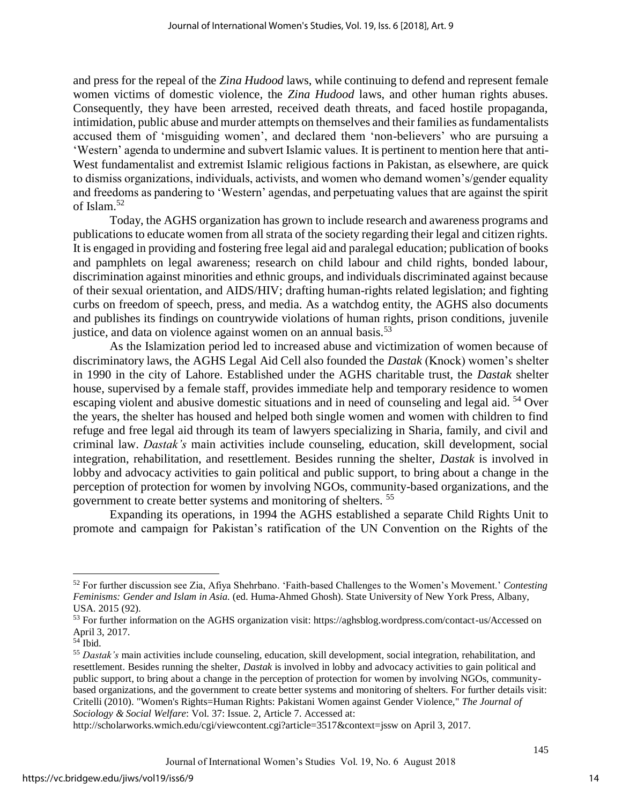and press for the repeal of the *Zina Hudood* laws, while continuing to defend and represent female women victims of domestic violence, the *Zina Hudood* laws, and other human rights abuses. Consequently, they have been arrested, received death threats, and faced hostile propaganda, intimidation, public abuse and murder attempts on themselves and their families as fundamentalists accused them of 'misguiding women', and declared them 'non-believers' who are pursuing a 'Western' agenda to undermine and subvert Islamic values. It is pertinent to mention here that anti-West fundamentalist and extremist Islamic religious factions in Pakistan, as elsewhere, are quick to dismiss organizations, individuals, activists, and women who demand women's/gender equality and freedoms as pandering to 'Western' agendas, and perpetuating values that are against the spirit of Islam.<sup>52</sup>

Today, the AGHS organization has grown to include research and awareness programs and publications to educate women from all strata of the society regarding their legal and citizen rights. It is engaged in providing and fostering free legal aid and paralegal education; publication of books and pamphlets on legal awareness; research on child labour and child rights, bonded labour, discrimination against minorities and ethnic groups, and individuals discriminated against because of their sexual orientation, and AIDS/HIV; drafting human-rights related legislation; and fighting curbs on freedom of speech, press, and media. As a watchdog entity, the AGHS also documents and publishes its findings on countrywide violations of human rights, prison conditions, juvenile justice, and data on violence against women on an annual basis.<sup>53</sup>

As the Islamization period led to increased abuse and victimization of women because of discriminatory laws, the AGHS Legal Aid Cell also founded the *Dastak* (Knock) women's shelter in 1990 in the city of Lahore. Established under the AGHS charitable trust, the *Dastak* shelter house, supervised by a female staff, provides immediate help and temporary residence to women escaping violent and abusive domestic situations and in need of counseling and legal aid. <sup>54</sup> Over the years, the shelter has housed and helped both single women and women with children to find refuge and free legal aid through its team of lawyers specializing in Sharia, family, and civil and criminal law. *Dastak's* main activities include counseling, education, skill development, social integration, rehabilitation, and resettlement. Besides running the shelter, *Dastak* is involved in lobby and advocacy activities to gain political and public support, to bring about a change in the perception of protection for women by involving NGOs, community-based organizations, and the government to create better systems and monitoring of shelters. <sup>55</sup>

Expanding its operations, in 1994 the AGHS established a separate Child Rights Unit to promote and campaign for Pakistan's ratification of the UN Convention on the Rights of the

 $\overline{a}$ 

<sup>52</sup> For further discussion see Zia, Afiya Shehrbano. 'Faith-based Challenges to the Women's Movement.' *Contesting Feminisms: Gender and Islam in Asia.* (ed. Huma-Ahmed Ghosh). State University of New York Press, Albany, USA. 2015 (92).

<sup>&</sup>lt;sup>53</sup> For further information on the AGHS organization visit: https://aghsblog.wordpress.com/contact-us/Accessed on April 3, 2017.

 $54$  Ibid.

<sup>55</sup> *Dastak's* main activities include counseling, education, skill development, social integration, rehabilitation, and resettlement. Besides running the shelter, *Dastak* is involved in lobby and advocacy activities to gain political and public support, to bring about a change in the perception of protection for women by involving NGOs, communitybased organizations, and the government to create better systems and monitoring of shelters. For further details visit: Critelli (2010). "Women's Rights=Human Rights: Pakistani Women against Gender Violence," *The Journal of Sociology & Social Welfare*: Vol. 37: Issue. 2, Article 7. Accessed at:

http://scholarworks.wmich.edu/cgi/viewcontent.cgi?article=3517&context=jssw on April 3, 2017.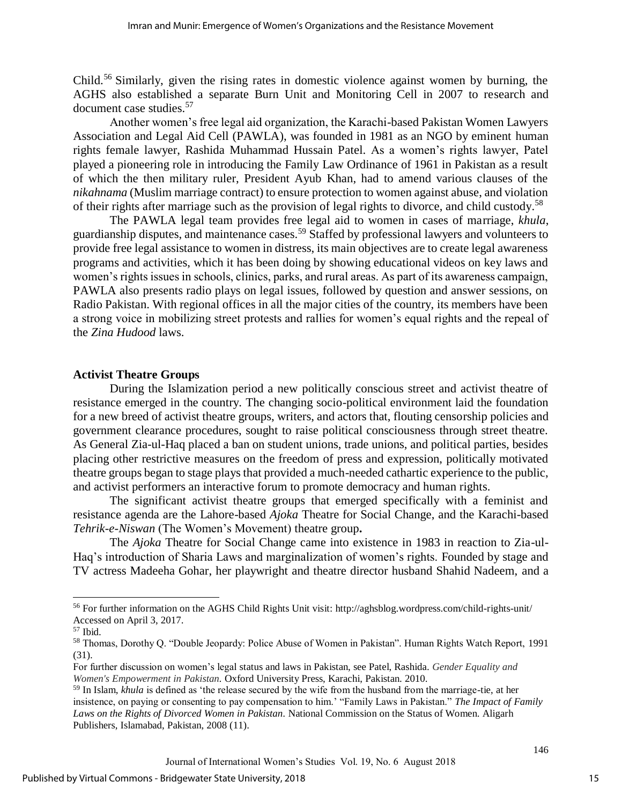Child.<sup>56</sup> Similarly, given the rising rates in domestic violence against women by burning, the AGHS also established a separate Burn Unit and Monitoring Cell in 2007 to research and document case studies.<sup>57</sup>

Another women's free legal aid organization, the Karachi-based Pakistan Women Lawyers Association and Legal Aid Cell (PAWLA), was founded in 1981 as an NGO by eminent human rights female lawyer, Rashida Muhammad Hussain Patel. As a women's rights lawyer, Patel played a pioneering role in introducing the Family Law Ordinance of 1961 in Pakistan as a result of which the then military ruler, President Ayub Khan, had to amend various clauses of the *nikahnama* (Muslim marriage contract) to ensure protection to women against abuse, and violation of their rights after marriage such as the provision of legal rights to divorce, and child custody.<sup>58</sup>

The PAWLA legal team provides free legal aid to women in cases of marriage, *khula*, guardianship disputes, and maintenance cases.<sup>59</sup> Staffed by professional lawyers and volunteers to provide free legal assistance to women in distress, its main objectives are to create legal awareness programs and activities, which it has been doing by showing educational videos on key laws and women's rights issues in schools, clinics, parks, and rural areas. As part of its awareness campaign, PAWLA also presents radio plays on legal issues, followed by question and answer sessions, on Radio Pakistan. With regional offices in all the major cities of the country, its members have been a strong voice in mobilizing street protests and rallies for women's equal rights and the repeal of the *Zina Hudood* laws.

#### **Activist Theatre Groups**

During the Islamization period a new politically conscious street and activist theatre of resistance emerged in the country. The changing socio-political environment laid the foundation for a new breed of activist theatre groups, writers, and actors that, flouting censorship policies and government clearance procedures, sought to raise political consciousness through street theatre. As General Zia-ul-Haq placed a ban on student unions, trade unions, and political parties, besides placing other restrictive measures on the freedom of press and expression, politically motivated theatre groups began to stage plays that provided a much-needed cathartic experience to the public, and activist performers an interactive forum to promote democracy and human rights.

The significant activist theatre groups that emerged specifically with a feminist and resistance agenda are the Lahore-based *Ajoka* Theatre for Social Change, and the Karachi-based *Tehrik-e-Niswan* (The Women's Movement) theatre group**.**

The *Ajoka* Theatre for Social Change came into existence in 1983 in reaction to Zia-ul-Haq's introduction of Sharia Laws and marginalization of women's rights. Founded by stage and TV actress Madeeha Gohar, her playwright and theatre director husband Shahid Nadeem, and a

l

<sup>56</sup> For further information on the AGHS Child Rights Unit visit: http://aghsblog.wordpress.com/child-rights-unit/ Accessed on April 3, 2017.

<sup>57</sup> Ibid.

<sup>58</sup> Thomas, Dorothy Q. "Double Jeopardy: Police Abuse of Women in Pakistan". Human Rights Watch Report, 1991 (31).

For further discussion on women's legal status and laws in Pakistan, see Patel, Rashida. *Gender Equality and Women's Empowerment in Pakistan.* Oxford University Press, Karachi, Pakistan. 2010.

<sup>59</sup> In Islam, *khula* is defined as 'the release secured by the wife from the husband from the marriage-tie, at her insistence, on paying or consenting to pay compensation to him.' "Family Laws in Pakistan." *The Impact of Family Laws on the Rights of Divorced Women in Pakistan.* National Commission on the Status of Women. Aligarh Publishers, Islamabad, Pakistan, 2008 (11).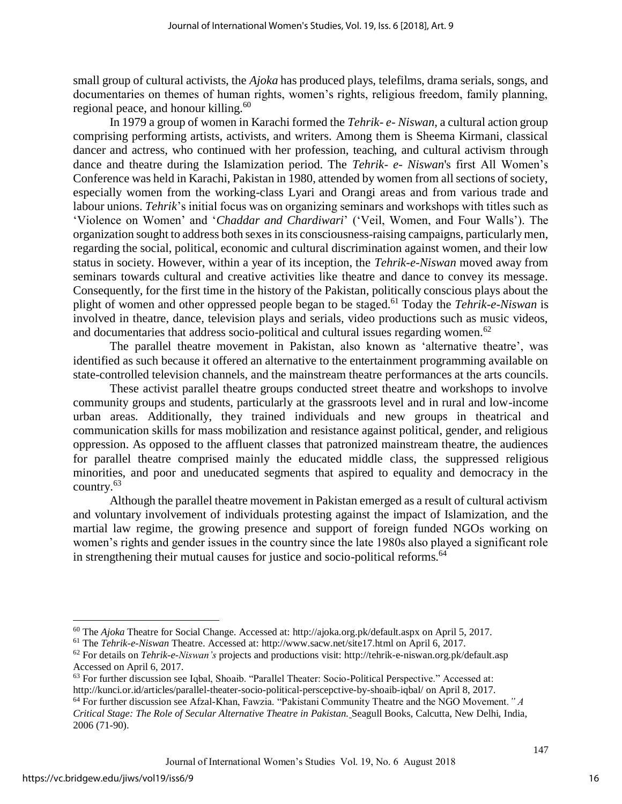small group of cultural activists, the *Ajoka* has produced plays, telefilms, drama serials, songs, and documentaries on themes of human rights, women's rights, religious freedom, family planning, regional peace, and honour killing.<sup>60</sup>

In 1979 a group of women in Karachi formed the *Tehrik- e- Niswan*, a cultural action group comprising performing artists, activists, and writers. Among them is Sheema Kirmani, classical dancer and actress, who continued with her profession, teaching, and cultural activism through dance and theatre during the Islamization period. The *Tehrik- e- Niswan*'s first All Women's Conference was held in Karachi, Pakistan in 1980, attended by women from all sections of society, especially women from the working-class Lyari and Orangi areas and from various trade and labour unions. *Tehrik*'s initial focus was on organizing seminars and workshops with titles such as 'Violence on Women' and '*Chaddar and Chardiwari*' ('Veil, Women, and Four Walls'). The organization sought to address both sexes in its consciousness-raising campaigns, particularly men, regarding the social, political, economic and cultural discrimination against women, and their low status in society. However, within a year of its inception, the *Tehrik-e-Niswan* moved away from seminars towards cultural and creative activities like theatre and dance to convey its message. Consequently, for the first time in the history of the Pakistan, politically conscious plays about the plight of women and other oppressed people began to be staged.<sup>61</sup> Today the *Tehrik-e-Niswan* is involved in theatre, dance, television plays and serials, video productions such as music videos, and documentaries that address socio-political and cultural issues regarding women.<sup>62</sup>

The parallel theatre movement in Pakistan, also known as 'alternative theatre', was identified as such because it offered an alternative to the entertainment programming available on state-controlled television channels, and the mainstream theatre performances at the arts councils.

These activist parallel theatre groups conducted street theatre and workshops to involve community groups and students, particularly at the grassroots level and in rural and low-income urban areas. Additionally, they trained individuals and new groups in theatrical and communication skills for mass mobilization and resistance against political, gender, and religious oppression. As opposed to the affluent classes that patronized mainstream theatre, the audiences for parallel theatre comprised mainly the educated middle class, the suppressed religious minorities, and poor and uneducated segments that aspired to equality and democracy in the country.<sup>63</sup>

Although the parallel theatre movement in Pakistan emerged as a result of cultural activism and voluntary involvement of individuals protesting against the impact of Islamization, and the martial law regime, the growing presence and support of foreign funded NGOs working on women's rights and gender issues in the country since the late 1980s also played a significant role in strengthening their mutual causes for justice and socio-political reforms.<sup>64</sup>

 $\overline{a}$ 

<sup>60</sup> The *Ajoka* Theatre for Social Change. Accessed at: http://ajoka.org.pk/default.aspx on April 5, 2017.

<sup>61</sup> The *Tehrik-e-Niswan* Theatre. Accessed at: http://www.sacw.net/site17.html on April 6, 2017.

<sup>62</sup> For details on *Tehrik-e-Niswan's* projects and productions visit: http://tehrik-e-niswan.org.pk/default.asp Accessed on April 6, 2017.

<sup>63</sup> For further discussion see Iqbal, Shoaib. "Parallel Theater: Socio-Political Perspective." Accessed at: http://kunci.or.id/articles/parallel-theater-socio-political-perscepctive-by-shoaib-iqbal/ on April 8, 2017.

<sup>64</sup> For further discussion see Afzal-Khan, Fawzia. "Pakistani Community Theatre and the NGO Movement*." A Critical Stage: The Role of Secular Alternative Theatre in Pakistan.* Seagull Books, Calcutta, New Delhi, India, 2006 (71-90).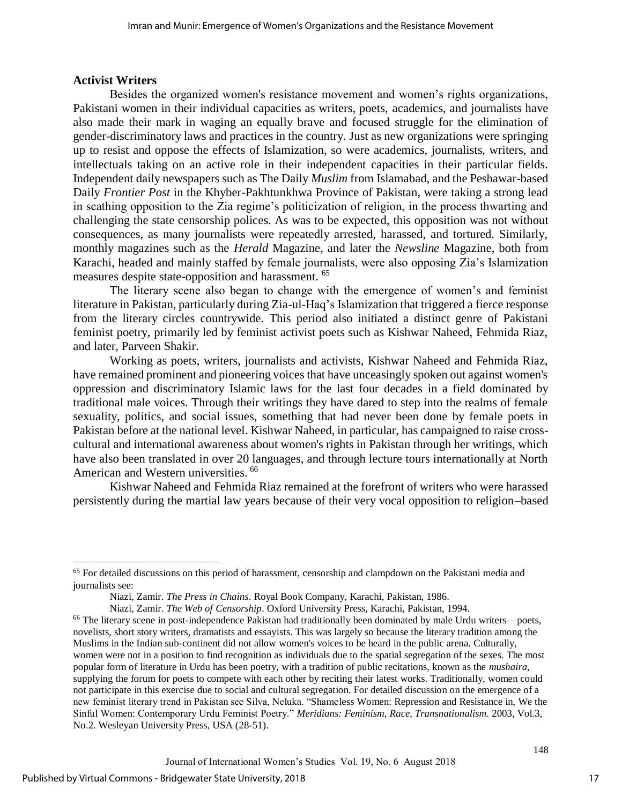#### **Activist Writers**

Besides the organized women's resistance movement and women's rights organizations, Pakistani women in their individual capacities as writers, poets, academics, and journalists have also made their mark in waging an equally brave and focused struggle for the elimination of gender-discriminatory laws and practices in the country. Just as new organizations were springing up to resist and oppose the effects of Islamization, so were academics, journalists, writers, and intellectuals taking on an active role in their independent capacities in their particular fields. Independent daily newspapers such as The Daily *Muslim* from Islamabad, and the Peshawar-based Daily *Frontier Post* in the Khyber-Pakhtunkhwa Province of Pakistan, were taking a strong lead in scathing opposition to the Zia regime's politicization of religion, in the process thwarting and challenging the state censorship polices. As was to be expected, this opposition was not without consequences, as many journalists were repeatedly arrested, harassed, and tortured. Similarly, monthly magazines such as the *Herald* Magazine, and later the *Newsline* Magazine, both from Karachi, headed and mainly staffed by female journalists, were also opposing Zia's Islamization measures despite state-opposition and harassment. <sup>65</sup>

The literary scene also began to change with the emergence of women's and feminist literature in Pakistan, particularly during Zia-ul-Haq's Islamization that triggered a fierce response from the literary circles countrywide. This period also initiated a distinct genre of Pakistani feminist poetry, primarily led by feminist activist poets such as Kishwar Naheed, Fehmida Riaz, and later, Parveen Shakir.

Working as poets, writers, journalists and activists, Kishwar Naheed and Fehmida Riaz, have remained prominent and pioneering voices that have unceasingly spoken out against women's oppression and discriminatory Islamic laws for the last four decades in a field dominated by traditional male voices. Through their writings they have dared to step into the realms of female sexuality, politics, and social issues, something that had never been done by female poets in Pakistan before at the national level. Kishwar Naheed, in particular, has campaigned to raise crosscultural and international awareness about women's rights in Pakistan through her writings, which have also been translated in over 20 languages, and through lecture tours internationally at North American and Western universities. <sup>66</sup>

Kishwar Naheed and Fehmida Riaz remained at the forefront of writers who were harassed persistently during the martial law years because of their very vocal opposition to religion–based

 $\overline{a}$ 

<sup>&</sup>lt;sup>65</sup> For detailed discussions on this period of harassment, censorship and clampdown on the Pakistani media and journalists see:

Niazi, Zamir. *The Press in Chains*. Royal Book Company, Karachi, Pakistan, 1986.

Niazi, Zamir. *The Web of Censorship*. Oxford University Press, Karachi, Pakistan, 1994.

<sup>&</sup>lt;sup>66</sup> The literary scene in post-independence Pakistan had traditionally been dominated by male Urdu writers—poets, novelists, short story writers, dramatists and essayists. This was largely so because the literary tradition among the Muslims in the Indian sub-continent did not allow women's voices to be heard in the public arena. Culturally, women were not in a position to find recognition as individuals due to the spatial segregation of the sexes. The most popular form of literature in Urdu has been poetry, with a tradition of public recitations, known as the *mushaira,* supplying the forum for poets to compete with each other by reciting their latest works. Traditionally, women could not participate in this exercise due to social and cultural segregation. For detailed discussion on the emergence of a new feminist literary trend in Pakistan see Silva, Neluka. "Shameless Women: Repression and Resistance in, We the Sinful Women: Contemporary Urdu Feminist Poetry." *Meridians: Feminism, Race, Transnationalism*. 2003, Vol.3, No.2. Wesleyan University Press, USA (28-51).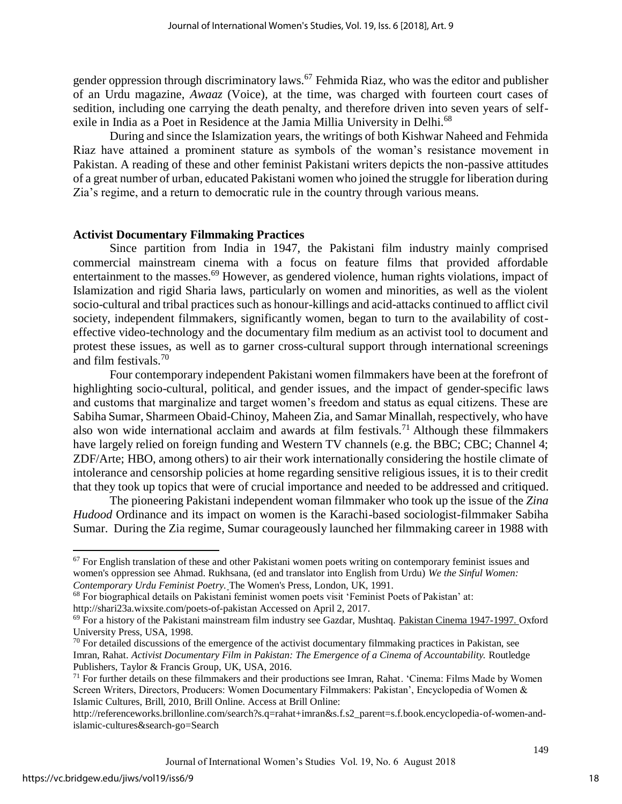gender oppression through discriminatory laws.<sup>67</sup> Fehmida Riaz, who was the editor and publisher of an Urdu magazine, *Awaaz* (Voice)*,* at the time, was charged with fourteen court cases of sedition, including one carrying the death penalty, and therefore driven into seven years of selfexile in India as a Poet in Residence at the Jamia Millia University in Delhi.<sup>68</sup>

During and since the Islamization years, the writings of both Kishwar Naheed and Fehmida Riaz have attained a prominent stature as symbols of the woman's resistance movement in Pakistan. A reading of these and other feminist Pakistani writers depicts the non-passive attitudes of a great number of urban, educated Pakistani women who joined the struggle for liberation during Zia's regime, and a return to democratic rule in the country through various means.

#### **Activist Documentary Filmmaking Practices**

Since partition from India in 1947, the Pakistani film industry mainly comprised commercial mainstream cinema with a focus on feature films that provided affordable entertainment to the masses.<sup>69</sup> However, as gendered violence, human rights violations, impact of Islamization and rigid Sharia laws, particularly on women and minorities, as well as the violent socio-cultural and tribal practices such as honour-killings and acid-attacks continued to afflict civil society, independent filmmakers, significantly women, began to turn to the availability of costeffective video-technology and the documentary film medium as an activist tool to document and protest these issues, as well as to garner cross-cultural support through international screenings and film festivals.<sup>70</sup>

Four contemporary independent Pakistani women filmmakers have been at the forefront of highlighting socio-cultural, political, and gender issues, and the impact of gender-specific laws and customs that marginalize and target women's freedom and status as equal citizens. These are Sabiha Sumar, Sharmeen Obaid-Chinoy, Maheen Zia, and Samar Minallah, respectively, who have also won wide international acclaim and awards at film festivals.<sup>71</sup> Although these filmmakers have largely relied on foreign funding and Western TV channels (e.g. the BBC; CBC; Channel 4; ZDF/Arte; HBO, among others) to air their work internationally considering the hostile climate of intolerance and censorship policies at home regarding sensitive religious issues, it is to their credit that they took up topics that were of crucial importance and needed to be addressed and critiqued.

The pioneering Pakistani independent woman filmmaker who took up the issue of the *Zina Hudood* Ordinance and its impact on women is the Karachi-based sociologist-filmmaker Sabiha Sumar. During the Zia regime, Sumar courageously launched her filmmaking career in 1988 with

 $\overline{a}$ 

 $67$  For English translation of these and other Pakistani women poets writing on contemporary feminist issues and women's oppression see Ahmad. Rukhsana, (ed and translator into English from Urdu) *We the Sinful Women: Contemporary Urdu Feminist Poetry.* The Women's Press, London, UK, 1991.

<sup>68</sup> For biographical details on Pakistani feminist women poets visit 'Feminist Poets of Pakistan' at:

http://shari23a.wixsite.com/poets-of-pakistan Accessed on April 2, 2017.

<sup>&</sup>lt;sup>69</sup> For a history of the Pakistani mainstream film industry see Gazdar, Mushtaq. Pakistan Cinema 1947-1997. Oxford University Press, USA, 1998.

 $70$  For detailed discussions of the emergence of the activist documentary filmmaking practices in Pakistan, see Imran, Rahat. *Activist Documentary Film in Pakistan: The Emergence of a Cinema of Accountability.* Routledge Publishers, Taylor & Francis Group, UK, USA, 2016.

 $71$  For further details on these filmmakers and their productions see Imran, Rahat. 'Cinema: Films Made by Women Screen Writers, Directors, Producers: Women Documentary Filmmakers: Pakistan', Encyclopedia of Women & Islamic Cultures, Brill, 2010, Brill Online. Access at Brill Online:

http://referenceworks.brillonline.com/search?s.q=rahat+imran&s.f.s2\_parent=s.f.book.encyclopedia-of-women-andislamic-cultures&search-go=Search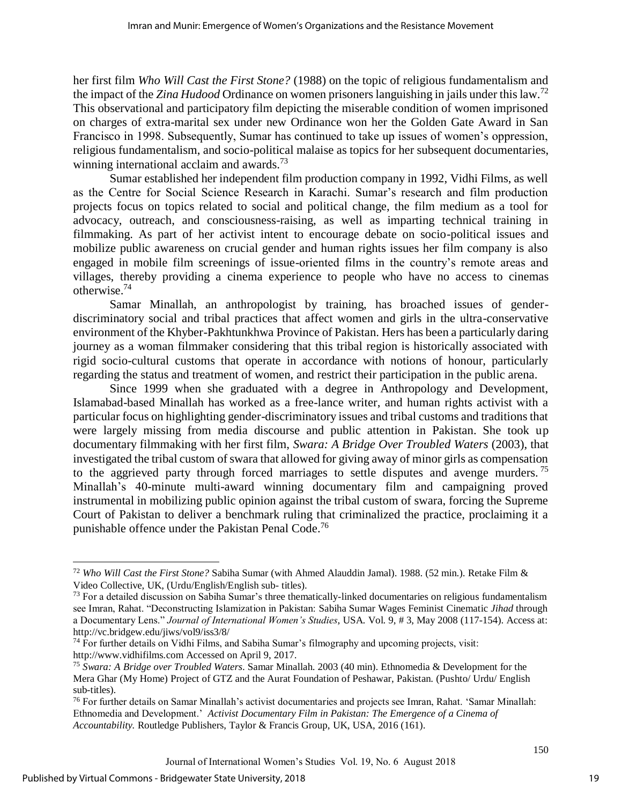her first film *Who Will Cast the First Stone?* (1988) on the topic of religious fundamentalism and the impact of the *Zina Hudood* Ordinance on women prisoners languishing in jails under this law.<sup>72</sup> This observational and participatory film depicting the miserable condition of women imprisoned on charges of extra-marital sex under new Ordinance won her the Golden Gate Award in San Francisco in 1998. Subsequently, Sumar has continued to take up issues of women's oppression, religious fundamentalism, and socio-political malaise as topics for her subsequent documentaries, winning international acclaim and awards. $73$ 

Sumar established her independent film production company in 1992, Vidhi Films, as well as the Centre for Social Science Research in Karachi. Sumar's research and film production projects focus on topics related to social and political change, the film medium as a tool for advocacy, outreach, and consciousness-raising, as well as imparting technical training in filmmaking. As part of her activist intent to encourage debate on socio-political issues and mobilize public awareness on crucial gender and human rights issues her film company is also engaged in mobile film screenings of issue-oriented films in the country's remote areas and villages, thereby providing a cinema experience to people who have no access to cinemas otherwise.<sup>74</sup>

Samar Minallah, an anthropologist by training, has broached issues of genderdiscriminatory social and tribal practices that affect women and girls in the ultra-conservative environment of the Khyber-Pakhtunkhwa Province of Pakistan. Hers has been a particularly daring journey as a woman filmmaker considering that this tribal region is historically associated with rigid socio-cultural customs that operate in accordance with notions of honour, particularly regarding the status and treatment of women, and restrict their participation in the public arena.

Since 1999 when she graduated with a degree in Anthropology and Development, Islamabad-based Minallah has worked as a free-lance writer, and human rights activist with a particular focus on highlighting gender-discriminatory issues and tribal customs and traditions that were largely missing from media discourse and public attention in Pakistan. She took up documentary filmmaking with her first film, *Swara: A Bridge Over Troubled Waters* (2003), that investigated the tribal custom of swara that allowed for giving away of minor girls as compensation to the aggrieved party through forced marriages to settle disputes and avenge murders.<sup>75</sup> Minallah's 40-minute multi-award winning documentary film and campaigning proved instrumental in mobilizing public opinion against the tribal custom of swara, forcing the Supreme Court of Pakistan to deliver a benchmark ruling that criminalized the practice, proclaiming it a punishable offence under the Pakistan Penal Code.<sup>76</sup>

 $\overline{a}$ 

19

<sup>72</sup> *Who Will Cast the First Stone?* Sabiha Sumar (with Ahmed Alauddin Jamal). 1988. (52 min.). Retake Film & Video Collective, UK, (Urdu/English/English sub- titles).

<sup>&</sup>lt;sup>73</sup> For a detailed discussion on Sabiha Sumar's three thematically-linked documentaries on religious fundamentalism see Imran, Rahat. "Deconstructing Islamization in Pakistan: Sabiha Sumar Wages Feminist Cinematic *Jihad* through a Documentary Lens." *Journal of International Women's Studies*, USA*.* Vol. 9, # 3, May 2008 (117-154). Access at: http://vc.bridgew.edu/jiws/vol9/iss3/8/

<sup>74</sup> For further details on Vidhi Films, and Sabiha Sumar's filmography and upcoming projects, visit: http://www.vidhifilms.com Accessed on April 9, 2017.

<sup>75</sup> *Swara: A Bridge over Troubled Waters*. Samar Minallah. 2003 (40 min). Ethnomedia & Development for the Mera Ghar (My Home) Project of GTZ and the Aurat Foundation of Peshawar, Pakistan. (Pushto/ Urdu/ English sub-titles).

<sup>&</sup>lt;sup>76</sup> For further details on Samar Minallah's activist documentaries and projects see Imran, Rahat. 'Samar Minallah: Ethnomedia and Development.' *Activist Documentary Film in Pakistan: The Emergence of a Cinema of Accountability.* Routledge Publishers, Taylor & Francis Group, UK, USA, 2016 (161).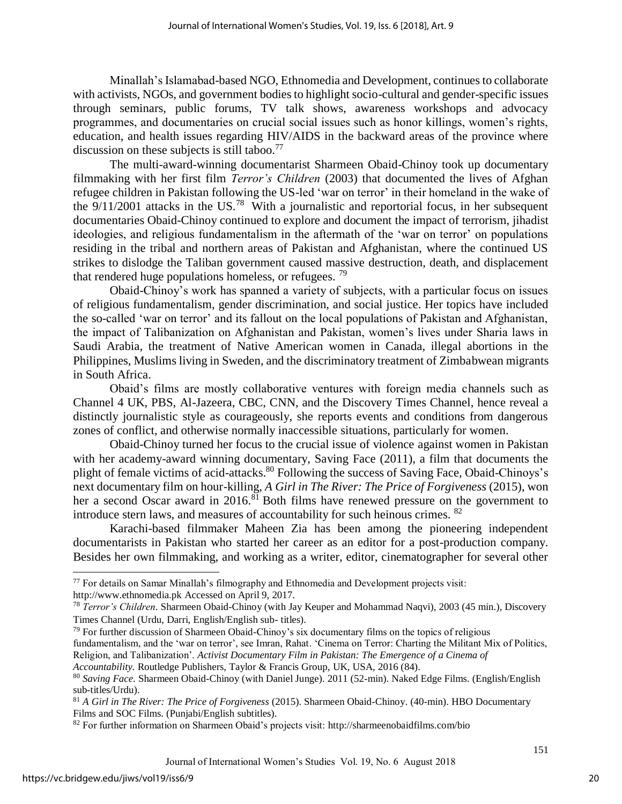Minallah's Islamabad-based NGO, Ethnomedia and Development, continues to collaborate with activists, NGOs, and government bodies to highlight socio-cultural and gender-specific issues through seminars, public forums, TV talk shows, awareness workshops and advocacy programmes, and documentaries on crucial social issues such as honor killings, women's rights, education, and health issues regarding HIV/AIDS in the backward areas of the province where discussion on these subjects is still taboo.<sup>77</sup>

The multi-award-winning documentarist Sharmeen Obaid-Chinoy took up documentary filmmaking with her first film *Terror's Children* (2003) that documented the lives of Afghan refugee children in Pakistan following the US-led 'war on terror' in their homeland in the wake of the  $9/11/2001$  attacks in the US.<sup>78</sup> With a journalistic and reportorial focus, in her subsequent documentaries Obaid-Chinoy continued to explore and document the impact of terrorism, jihadist ideologies, and religious fundamentalism in the aftermath of the 'war on terror' on populations residing in the tribal and northern areas of Pakistan and Afghanistan, where the continued US strikes to dislodge the Taliban government caused massive destruction, death, and displacement that rendered huge populations homeless, or refugees.  $^{79}$ 

Obaid-Chinoy's work has spanned a variety of subjects, with a particular focus on issues of religious fundamentalism, gender discrimination, and social justice. Her topics have included the so-called 'war on terror' and its fallout on the local populations of Pakistan and Afghanistan, the impact of Talibanization on Afghanistan and Pakistan, women's lives under Sharia laws in Saudi Arabia, the treatment of Native American women in Canada, illegal abortions in the Philippines, Muslims living in Sweden, and the discriminatory treatment of Zimbabwean migrants in South Africa.

Obaid's films are mostly collaborative ventures with foreign media channels such as Channel 4 UK, PBS, Al-Jazeera, CBC, CNN, and the Discovery Times Channel, hence reveal a distinctly journalistic style as courageously, she reports events and conditions from dangerous zones of conflict, and otherwise normally inaccessible situations, particularly for women.

Obaid-Chinoy turned her focus to the crucial issue of violence against women in Pakistan with her academy-award winning documentary, Saving Face (2011), a film that documents the plight of female victims of acid-attacks.<sup>80</sup> Following the success of Saving Face, Obaid-Chinoys's next documentary film on hour-killing, *A Girl in The River: The Price of Forgiveness* (2015), won her a second Oscar award in 2016.<sup>81</sup> Both films have renewed pressure on the government to introduce stern laws, and measures of accountability for such heinous crimes. <sup>82</sup>

Karachi-based filmmaker Maheen Zia has been among the pioneering independent documentarists in Pakistan who started her career as an editor for a post-production company. Besides her own filmmaking, and working as a writer, editor, cinematographer for several other

<sup>79</sup> For further discussion of Sharmeen Obaid-Chinoy's six documentary films on the topics of religious

*Accountability.* Routledge Publishers, Taylor & Francis Group, UK, USA, 2016 (84).

l

 $77$  For details on Samar Minallah's filmography and Ethnomedia and Development projects visit: http://www.ethnomedia.pk Accessed on April 9, 2017.

<sup>78</sup> *Terror's Children*. Sharmeen Obaid-Chinoy (with Jay Keuper and Mohammad Naqvi), 2003 (45 min.), Discovery Times Channel (Urdu, Darri, English/English sub- titles).

fundamentalism, and the 'war on terror', see Imran, Rahat. 'Cinema on Terror: Charting the Militant Mix of Politics, Religion, and Talibanization'. *Activist Documentary Film in Pakistan: The Emergence of a Cinema of* 

<sup>80</sup> *Saving Face*. Sharmeen Obaid-Chinoy (with Daniel Junge). 2011 (52-min). Naked Edge Films. (English/English sub-titles/Urdu).

<sup>81</sup> *A Girl in The River: The Price of Forgiveness* (2015). Sharmeen Obaid-Chinoy. (40-min). HBO Documentary Films and SOC Films. (Punjabi/English subtitles).

<sup>82</sup> For further information on Sharmeen Obaid's projects visit: http://sharmeenobaidfilms.com/bio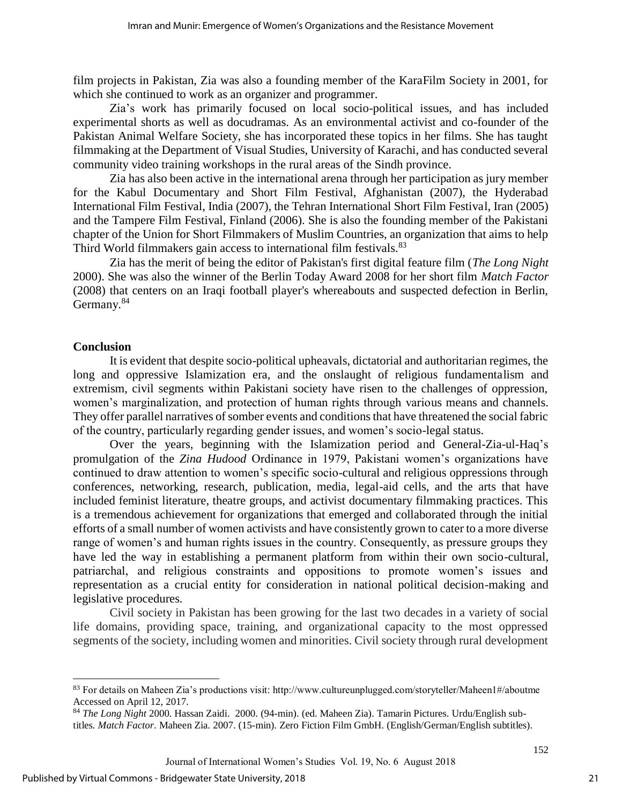film projects in Pakistan, Zia was also a founding member of the KaraFilm Society in 2001, for which she continued to work as an organizer and programmer.

Zia's work has primarily focused on local socio-political issues, and has included experimental shorts as well as docudramas. As an environmental activist and co-founder of the Pakistan Animal Welfare Society, she has incorporated these topics in her films. She has taught filmmaking at the Department of Visual Studies, University of Karachi, and has conducted several community video training workshops in the rural areas of the Sindh province.

Zia has also been active in the international arena through her participation as jury member for the Kabul Documentary and Short Film Festival, Afghanistan (2007), the Hyderabad International Film Festival, India (2007), the Tehran International Short Film Festival, Iran (2005) and the Tampere Film Festival, Finland (2006). She is also the founding member of the Pakistani chapter of the Union for Short Filmmakers of Muslim Countries, an organization that aims to help Third World filmmakers gain access to international film festivals.<sup>83</sup>

Zia has the merit of being the editor of Pakistan's first digital feature film (*The Long Night* 2000). She was also the winner of the Berlin Today Award 2008 for her short film *Match Factor*  (2008) that centers on an Iraqi football player's whereabouts and suspected defection in Berlin, Germany.<sup>84</sup>

#### **Conclusion**

l

It is evident that despite socio-political upheavals, dictatorial and authoritarian regimes, the long and oppressive Islamization era, and the onslaught of religious fundamentalism and extremism, civil segments within Pakistani society have risen to the challenges of oppression, women's marginalization, and protection of human rights through various means and channels. They offer parallel narratives of somber events and conditions that have threatened the social fabric of the country, particularly regarding gender issues, and women's socio-legal status.

Over the years, beginning with the Islamization period and General-Zia-ul-Haq's promulgation of the *Zina Hudood* Ordinance in 1979, Pakistani women's organizations have continued to draw attention to women's specific socio-cultural and religious oppressions through conferences, networking, research, publication, media, legal-aid cells, and the arts that have included feminist literature, theatre groups, and activist documentary filmmaking practices. This is a tremendous achievement for organizations that emerged and collaborated through the initial efforts of a small number of women activists and have consistently grown to cater to a more diverse range of women's and human rights issues in the country. Consequently, as pressure groups they have led the way in establishing a permanent platform from within their own socio-cultural, patriarchal, and religious constraints and oppositions to promote women's issues and representation as a crucial entity for consideration in national political decision-making and legislative procedures.

Civil society in Pakistan has been growing for the last two decades in a variety of social life domains, providing space, training, and organizational capacity to the most oppressed segments of the society, including women and minorities. Civil society through rural development

 $83$  For details on Maheen Zia's productions visit: http://www.cultureunplugged.com/storyteller/Maheen1#/aboutme Accessed on April 12, 2017.

<sup>84</sup> *The Long Night* 2000. Hassan Zaidi. 2000. (94-min). (ed. Maheen Zia). Tamarin Pictures. Urdu/English subtitles. *Match Factor*. Maheen Zia. 2007. (15-min). Zero Fiction Film GmbH. (English/German/English subtitles).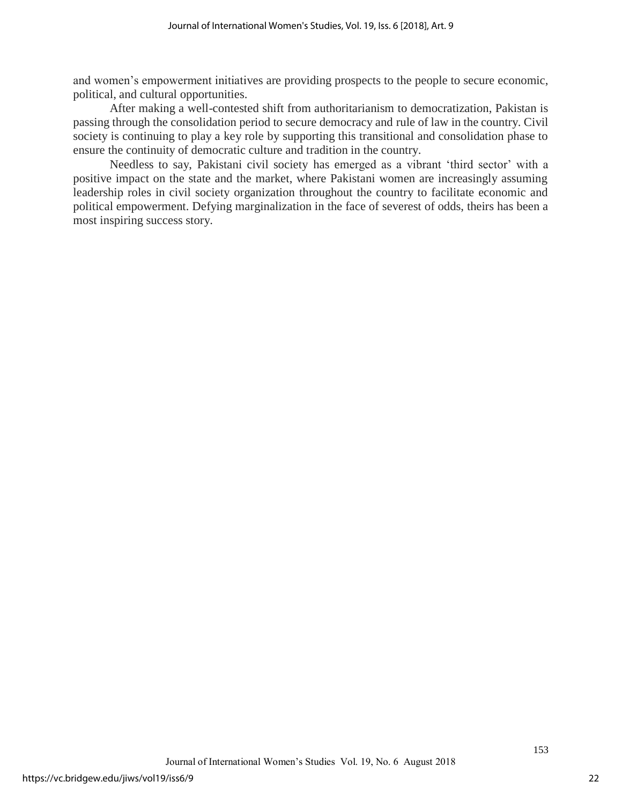and women's empowerment initiatives are providing prospects to the people to secure economic, political, and cultural opportunities.

After making a well-contested shift from authoritarianism to democratization, Pakistan is passing through the consolidation period to secure democracy and rule of law in the country. Civil society is continuing to play a key role by supporting this transitional and consolidation phase to ensure the continuity of democratic culture and tradition in the country.

Needless to say, Pakistani civil society has emerged as a vibrant 'third sector' with a positive impact on the state and the market, where Pakistani women are increasingly assuming leadership roles in civil society organization throughout the country to facilitate economic and political empowerment. Defying marginalization in the face of severest of odds, theirs has been a most inspiring success story.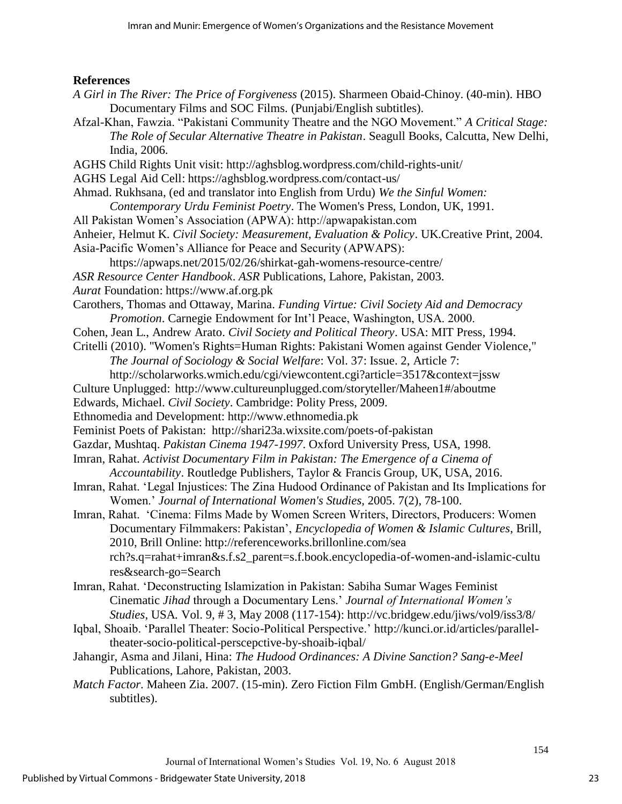#### **References**

- *A Girl in The River: The Price of Forgiveness* (2015). Sharmeen Obaid-Chinoy. (40-min). HBO Documentary Films and SOC Films. (Punjabi/English subtitles).
- Afzal-Khan, Fawzia. "Pakistani Community Theatre and the NGO Movement." *A Critical Stage: The Role of Secular Alternative Theatre in Pakistan*. Seagull Books, Calcutta, New Delhi, India, 2006.
- AGHS Child Rights Unit visit: http://aghsblog.wordpress.com/child-rights-unit/
- AGHS Legal Aid Cell: https://aghsblog.wordpress.com/contact-us/
- Ahmad. Rukhsana, (ed and translator into English from Urdu) *We the Sinful Women:* 
	- *Contemporary Urdu Feminist Poetry*. The Women's Press, London, UK, 1991.
- All Pakistan Women's Association (APWA): http://apwapakistan.com
- Anheier, Helmut K. *Civil Society: Measurement, Evaluation & Policy*. UK.Creative Print, 2004.
- Asia-Pacific Women's Alliance for Peace and Security (APWAPS):
- https://apwaps.net/2015/02/26/shirkat-gah-womens-resource-centre/
- *ASR Resource Center Handbook*. *ASR* Publications, Lahore, Pakistan, 2003.
- *Aurat* Foundation: https://www.af.org.pk
- Carothers, Thomas and Ottaway, Marina. *Funding Virtue: Civil Society Aid and Democracy Promotion*. Carnegie Endowment for Int'l Peace, Washington, USA. 2000.
- Cohen, Jean L., Andrew Arato. *Civil Society and Political Theory*. USA: MIT Press, 1994.
- Critelli (2010). "Women's Rights=Human Rights: Pakistani Women against Gender Violence," *The Journal of Sociology & Social Welfare*: Vol. 37: Issue. 2, Article 7:
	- http://scholarworks.wmich.edu/cgi/viewcontent.cgi?article=3517&context=jssw
- Culture Unplugged: http://www.cultureunplugged.com/storyteller/Maheen1#/aboutme
- Edwards, Michael. *Civil Society*. Cambridge: Polity Press, 2009.
- Ethnomedia and Development: http://www.ethnomedia.pk
- Feminist Poets of Pakistan: http://shari23a.wixsite.com/poets-of-pakistan
- Gazdar, Mushtaq. *Pakistan Cinema 1947-1997*. Oxford University Press, USA, 1998.
- Imran, Rahat. *Activist Documentary Film in Pakistan: The Emergence of a Cinema of Accountability*. Routledge Publishers, Taylor & Francis Group, UK, USA, 2016.
- Imran, Rahat. 'Legal Injustices: The Zina Hudood Ordinance of Pakistan and Its Implications for Women.' *Journal of International Women's Studies,* 2005. 7(2), 78-100.
- Imran, Rahat. 'Cinema: Films Made by Women Screen Writers, Directors, Producers: Women Documentary Filmmakers: Pakistan', *Encyclopedia of Women & Islamic Cultures*, Brill, 2010, Brill Online: http://referenceworks.brillonline.com/sea rch?s.q=rahat+imran&s.f.s2\_parent=s.f.book.encyclopedia-of-women-and-islamic-cultu res&search-go=Search
- Imran, Rahat. 'Deconstructing Islamization in Pakistan: Sabiha Sumar Wages Feminist Cinematic *Jihad* through a Documentary Lens.' *Journal of International Women's Studies*, USA*.* Vol. 9, # 3, May 2008 (117-154): http://vc.bridgew.edu/jiws/vol9/iss3/8/
- Iqbal, Shoaib. 'Parallel Theater: Socio-Political Perspective.' http://kunci.or.id/articles/paralleltheater-socio-political-perscepctive-by-shoaib-iqbal/
- Jahangir, Asma and Jilani, Hina: *The Hudood Ordinances: A Divine Sanction? Sang-e-Meel* Publications, Lahore, Pakistan, 2003.
- *Match Factor*. Maheen Zia. 2007. (15-min). Zero Fiction Film GmbH. (English/German/English subtitles).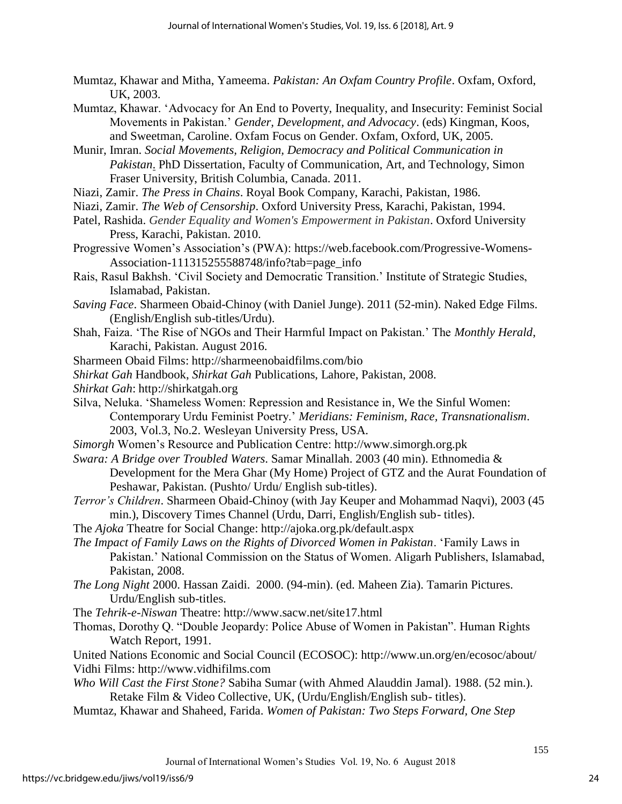- Mumtaz, Khawar and Mitha, Yameema. *Pakistan: An Oxfam Country Profile*. Oxfam, Oxford, UK, 2003.
- Mumtaz, Khawar. 'Advocacy for An End to Poverty, Inequality, and Insecurity: Feminist Social Movements in Pakistan.' *Gender, Development, and Advocacy*. (eds) Kingman, Koos, and Sweetman, Caroline. Oxfam Focus on Gender. Oxfam, Oxford, UK, 2005.
- Munir, Imran. *Social Movements, Religion, Democracy and Political Communication in Pakistan*. PhD Dissertation, Faculty of Communication, Art, and Technology, Simon Fraser University, British Columbia, Canada. 2011.
- Niazi, Zamir. *The Press in Chains*. Royal Book Company, Karachi, Pakistan, 1986.
- Niazi, Zamir. *The Web of Censorship*. Oxford University Press, Karachi, Pakistan, 1994.
- Patel, Rashida. *Gender Equality and Women's Empowerment in Pakistan*. Oxford University Press, Karachi, Pakistan. 2010.
- Progressive Women's Association's (PWA): https://web.facebook.com/Progressive-Womens-Association-111315255588748/info?tab=page\_info
- Rais, Rasul Bakhsh. 'Civil Society and Democratic Transition.' Institute of Strategic Studies, Islamabad, Pakistan.
- *Saving Face*. Sharmeen Obaid-Chinoy (with Daniel Junge). 2011 (52-min). Naked Edge Films. (English/English sub-titles/Urdu).
- Shah, Faiza. 'The Rise of NGOs and Their Harmful Impact on Pakistan.' The *Monthly Herald*, Karachi, Pakistan. August 2016.
- Sharmeen Obaid Films: http://sharmeenobaidfilms.com/bio
- *Shirkat Gah* Handbook, *Shirkat Gah* Publications, Lahore, Pakistan, 2008.
- *Shirkat Gah*: http://shirkatgah.org
- Silva, Neluka. 'Shameless Women: Repression and Resistance in, We the Sinful Women: Contemporary Urdu Feminist Poetry.' *Meridians: Feminism, Race, Transnationalism*. 2003, Vol.3, No.2. Wesleyan University Press, USA.
- *Simorgh* Women's Resource and Publication Centre: http://www.simorgh.org.pk
- *Swara: A Bridge over Troubled Waters*. Samar Minallah. 2003 (40 min). Ethnomedia & Development for the Mera Ghar (My Home) Project of GTZ and the Aurat Foundation of Peshawar, Pakistan. (Pushto/ Urdu/ English sub-titles).
- *Terror's Children*. Sharmeen Obaid-Chinoy (with Jay Keuper and Mohammad Naqvi), 2003 (45 min.), Discovery Times Channel (Urdu, Darri, English/English sub- titles).
- The *Ajoka* Theatre for Social Change: http://ajoka.org.pk/default.aspx
- *The Impact of Family Laws on the Rights of Divorced Women in Pakistan*. 'Family Laws in Pakistan.' National Commission on the Status of Women. Aligarh Publishers, Islamabad, Pakistan, 2008.
- *The Long Night* 2000. Hassan Zaidi. 2000. (94-min). (ed. Maheen Zia). Tamarin Pictures. Urdu/English sub-titles.
- The *Tehrik-e-Niswan* Theatre: http://www.sacw.net/site17.html
- Thomas, Dorothy Q. "Double Jeopardy: Police Abuse of Women in Pakistan". Human Rights Watch Report, 1991.

United Nations Economic and Social Council (ECOSOC): http://www.un.org/en/ecosoc/about/ Vidhi Films: http://www.vidhifilms.com

- *Who Will Cast the First Stone?* Sabiha Sumar (with Ahmed Alauddin Jamal). 1988. (52 min.). Retake Film & Video Collective, UK, (Urdu/English/English sub- titles).
- Mumtaz, Khawar and Shaheed, Farida. *Women of Pakistan: Two Steps Forward, One Step*